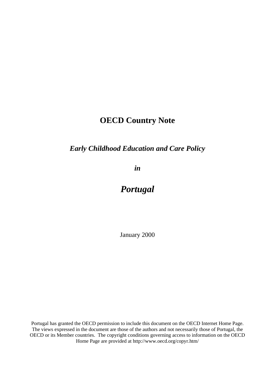# **OECD Country Note**

# *Early Childhood Education and Care Policy*

*in*

# *Portugal*

January 2000

Portugal has granted the OECD permission to include this document on the OECD Internet Home Page. The views expressed in the document are those of the authors and not necessarily those of Portugal, the OECD or its Member countries. The copyright conditions governing access to information on the OECD Home Page are provided at http://www.oecd.org/copyr.htm/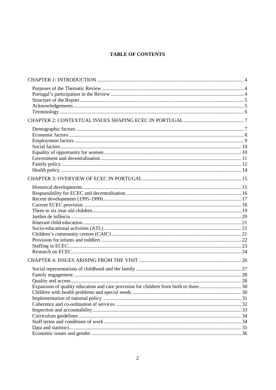## **TABLE OF CONTENTS**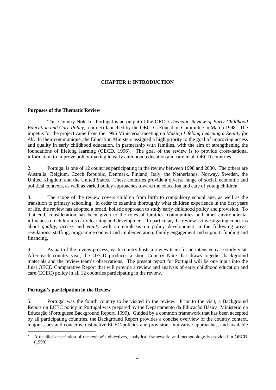### **CHAPTER 1: INTRODUCTION**

### **Purposes of the Thematic Review**

1. This Country Note for Portugal is an output of the OECD *Thematic Review of Early Childhood Education and Care Policy*, a project launched by the OECD's Education Committee in March 1998. The impetus for the project came from the 1996 Ministerial meeting on *Making Lifelong Learning a Reality for All*. In their communiqué, the Education Ministers assigned a high priority to the goal of improving access and quality in early childhood education, in partnership with families, with the aim of strengthening the foundations of lifelong learning (OECD, 1996). The goal of the review is to provide cross-national information to improve policy-making in early childhood education and care in all OECD countries.<sup>1</sup>

2. Portugal is one of 12 countries participating in the review between 1998 and 2000. The others are Australia, Belgium, Czech Republic, Denmark, Finland, Italy, the Netherlands, Norway, Sweden, the United Kingdom and the United States. These countries provide a diverse range of social, economic and political contexts, as well as varied policy approaches toward the education and care of young children.

3. The scope of the review covers children from birth to compulsory school age, as well as the transition to primary schooling. In order to examine thoroughly what children experience in the first years of life, the review has adopted a broad, holistic approach to study early childhood policy and provision. To that end, consideration has been given to the roles of families, communities and other environmental influences on children's early learning and development. In particular, the review is investigating concerns about *quality, access* and *equity* with an emphasis on policy development in the following areas: regulations; staffing; programme content and implementation; family engagement and support; funding and financing.

4. As part of the review process, each country hosts a review team for an intensive case study visit. After each country visit, the OECD produces a short Country Note that draws together background materials and the review team's observations. The present report for Portugal will be one input into the final OECD Comparative Report that will provide a review and analysis of early childhood education and care (ECEC) policy in all 12 countries participating in the review.

### **Portugal's participation in the Review**

5. Portugal was the fourth country to be visited in the review. Prior to the visit, a Background Report on ECEC policy in Portugal was prepared by the Departamento da Educação Básica, Ministério da Educação (Portuguese Background Report, 1999). Guided by a common framework that has been accepted by all participating countries, the Background Report provides a concise overview of the country context, major issues and concerns, distinctive ECEC policies and provision, innovative approaches, and available

<sup>-</sup>1 A detailed description of the review's objectives, analytical framework, and methodology is provided in OECD (1998).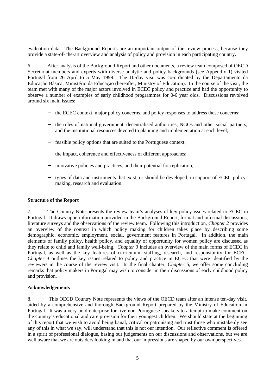evaluation data. The Background Reports are an important output of the review process, because they provide a state-of- the-art overview and analysis of policy and provision in each participating country.

6. After analysis of the Background Report and other documents, a review team composed of OECD Secretariat members and experts with diverse analytic and policy backgrounds (see Appendix 1) visited Portugal from 26 April to 5 May 1999. The 10-day visit was co-ordinated by the Departamento da Educação Básica, Ministério da Educação (hereafter, Ministry of Education). In the course of the visit, the team met with many of the major actors involved in ECEC policy and practice and had the opportunity to observe a number of examples of early childhood programmes for 0-6 year olds. Discussions revolved around six main issues:

- − the ECEC context, major policy concerns, and policy responses to address these concerns;
- − the roles of national government, decentralised authorities, NGOs and other social partners, and the institutional resources devoted to planning and implementation at each level;
- feasible policy options that are suited to the Portuguese context;
- the impact, coherence and effectiveness of different approaches;
- innovative policies and practices, and their potential for replication;
- − types of data and instruments that exist, or should be developed, in support of ECEC policymaking, research and evaluation.

#### **Structure of the Report**

7. The Country Note presents the review team's analyses of key policy issues related to ECEC in Portugal. It draws upon information provided in the Background Report, formal and informal discussions, literature surveys and the observations of the review team. Following this introduction, *Chapter 2* provides an overview of the context in which policy making for children takes place by describing some demographic, economic, employment, social, government features in Portugal. In addition, the main elements of family policy, health policy, and equality of opportunity for women policy are discussed as they relate to child and family well-being. *Chapter 3* includes an overview of the main forms of ECEC in Portugal, as well as the key features of curriculum, staffing, research, and responsibility for ECEC. *Chapter 4* outlines the key issues related to policy and practice in ECEC that were identified by the reviewers in the course of the review visit. In the final chapter, *Chapter 5*, we offer some concluding remarks that policy makers in Portugal may wish to consider in their discussions of early childhood policy and provision.

#### **Acknowledgements**

8. This OECD Country Note represents the views of the OECD team after an intense ten-day visit, aided by a comprehensive and thorough Background Report prepared by the Ministry of Education in Portugal. It was a very bold enterprise for five non-Portuguese speakers to attempt to make comment on the country's educational and care provision for their youngest children. We should state at the beginning of this report that we wish to avoid being banal, critical or patronising and trust those who mistakenly see any of this in what we say, will understand that this is not our intention. Our reflective comment is offered in a spirit of professional dialogue, basing our judgements on our discussions and observations, but we are well aware that we are outsiders looking in and that our impressions are shaped by our own perspectives.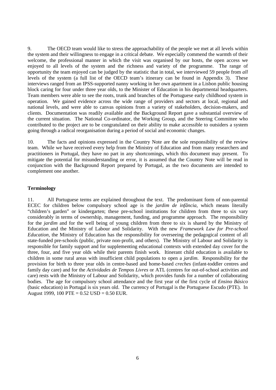9. The OECD team would like to stress the approachability of the people we met at all levels within the system and their willingness to engage in a critical debate. We especially commend the warmth of their welcome, the professional manner in which the visit was organised by our hosts, the open access we enjoyed to all levels of the system and the richness and variety of the programme. The range of opportunity the team enjoyed can be judged by the statistic that in total, we interviewed 59 people from *all* levels of the system (a full list of the OECD team's itinerary can be found in Appendix 3). These interviews ranged from an IPSS-supported nanny working in her own apartment in a Lisbon public housing block caring for four under three year olds, to the Minister of Education in his departmental headquarters. Team members were able to see the roots, trunk and branches of the Portuguese early childhood system in operation. We gained evidence across the wide range of providers and sectors at local, regional and national levels, and were able to canvas opinions from a variety of stakeholders, decision-makers, and clients. Documentation was readily available and the Background Report gave a substantial overview of the current situation. The National Co-ordinator, the Working Group, and the Steering Committee who contributed to the project are to be congratulated on their ability to make accessible to outsiders a system going through a radical reorganisation during a period of social and economic changes.

10. The facts and opinions expressed in the Country Note are the sole responsibility of the review team. While we have received every help from the Ministry of Education and from many researchers and practitioners in Portugal, they have no part in any shortcomings, which this document may present. To mitigate the potential for misunderstanding or error, it is assumed that the Country Note will be read in conjunction with the Background Report prepared by Portugal, as the two documents are intended to complement one another.

### **Terminology**

11. All Portuguese terms are explained throughout the text. The predominant form of non-parental ECEC for children below compulsory school age is the *jardim de infância,* which means literally "children's garden" or kindergarten; these pre-school institutions for children from three to six vary considerably in terms of ownership, management, funding, and programme approach. The responsibility for the *jardim* and for the well being of young children from three to six is shared by the Ministry of Education and the Ministry of Labour and Solidarity. With the new *Framework Law for Pre-school Education*, the Ministry of Education has the responsibility for overseeing the pedagogical content of all state-funded pre-schools (public, private non-profit, and others). The Ministry of Labour and Solidarity is responsible for family support and for supplementing educational contexts with extended day cover for the three, four, and five year olds while their parents finish work. Itinerant child education is available to children in some rural areas with insufficient child populations to open a *jardim*. Responsibility for the provision for birth to three year olds in centre-based and home-based *creches* (infant-toddler centres and family day care) and for the *Actividades de Tempos Livres* or ATL (centres for out-of-school activities and care) rests with the Ministry of Labour and Solidarity, which provides funds for a number of collaborating bodies. The age for compulsory school attendance and the first year of the first cycle of *Ensino Básico* (basic education) in Portugal is six years old. The currency of Portugal is the Portuguese Escudo (PTE). In August 1999, 100 PTE =  $0.52$  USD =  $0.50$  EUR.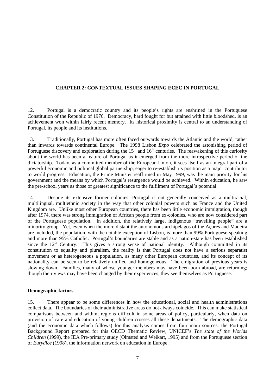### **CHAPTER 2: CONTEXTUAL ISSUES SHAPING ECEC IN PORTUGAL**

12. Portugal is a democratic country and its people's rights are enshrined in the Portuguese Constitution of the Republic of 1976. Democracy, hard fought for but attained with little bloodshed, is an achievement won within fairly recent memory. Its historical proximity is central to an understanding of Portugal, its people and its institutions.

13. Traditionally, Portugal has more often faced outwards towards the Atlantic and the world, rather than inwards towards continental Europe. The 1998 Lisbon *Expo* celebrated the astonishing period of Portuguese discovery and exploration during the  $15<sup>th</sup>$  and  $16<sup>th</sup>$  centuries. The reawakening of this curiosity about the world has been a feature of Portugal as it emerged from the more introspective period of the dictatorship. Today, as a committed member of the European Union, it sees itself as an integral part of a powerful economic and political global partnership, eager to re-establish its position as a major contributor to world progress. Education, the Prime Minister reaffirmed in May 1999, was the main priority for his government and the means by which Portugal's resurgence would be achieved. Within education, he saw the pre-school years as those of greatest significance to the fulfilment of Portugal's potential.

14. Despite its extensive former colonies, Portugal is not generally conceived as a multiracial, multilingual, multiethnic society in the way that other colonial powers such as France and the United Kingdom are. Unlike most other European countries, there has been little economic immigration, though after 1974, there was strong immigration of African people from ex-colonies, who are now considered part of the Portuguese population. In addition, the relatively large, indigenous "travelling people" are a minority group.Yet, even when the more distant the autonomous archipelagos of the Açores and Madeira are included, the population, with the notable exception of Lisbon, is more than 99% Portuguese-speaking and more than 95% Catholic. Portugal's boundaries are stable and as a nation-state has been established since the  $12<sup>th</sup>$  Century. This gives a strong sense of national identity. Although committed in its constitution to equality and pluralism, the reality is that Portugal does not have a serious separatist movement or as heterogeneous a population, as many other European countries, and its concept of its nationality can be seen to be relatively unified and homogeneous. The emigration of previous years is slowing down. Families, many of whose younger members may have been born abroad, are returning; though their views may have been changed by their experiences, they see themselves as Portuguese.

### **Demographic factors**

15. There appear to be some differences in how the educational, social and health administrations collect data. The boundaries of their administrative areas do not always coincide. This can make statistical comparisons between and within, regions difficult in some areas of policy, particularly, when data on provision of care and education of young children crosses all these departments. The demographic data (and the economic data which follows) for this analysis comes from four main sources: the Portugal Background Report prepared for this OECD Thematic Review, UNICEF's *The state of the Worlds Children* (1999), the IEA Pre-primary study (Olmsted and Weikart, 1995) and from the Portuguese section of *Eurydice* (1998), the information network on education in Europe.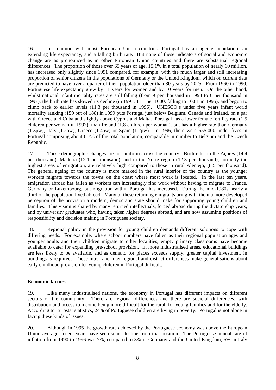16. In common with most European Union countries, Portugal has an ageing population, an extending life expectancy, and a falling birth rate. But none of these indicators of social and economic change are as pronounced as in other European Union countries and there are substantial regional differences. The proportion of those over 65 years of age, 15.1% in a total population of nearly 10 million, has increased only slightly since 1991 compared, for example, with the much larger and still increasing proportion of senior citizens in the populations of Germany or the United Kingdom, which on current data are predicted to have over a quarter of their population older than 80 years by 2025. From 1960 to 1990, Portuguese life expectancy grew by 11 years for women and by 10 years for men. On the other hand, whilst national infant mortality rates are still falling (from 9 per thousand in 1993 to 6 per thousand in 1997), the birth rate has slowed its decline (in 1993, 11.1 per 1000, falling to 10.81 in 1995), and begun to climb back to earlier levels (11.3 per thousand in 1996). UNESCO's under five years infant world mortality ranking (159 out of 188) in 1999 puts Portugal just below Belgium, Canada and Ireland, on a par with Greece and Cuba and slightly above Cyprus and Malta. Portugal has a lower female fertility rate (1.5) children per woman in 1997), than Ireland (1.8 children per woman), but has a higher rate than Germany (1.3pw), Italy (1.2pw), Greece (1.4pw) or Spain (1.2pw). In 1996, there were 555,000 under fives in Portugal comprising about 6.7% of the total population, comparable in number to Belgium and the Czech Republic.

17. These demographic changes are not uniform across the country. Birth rates in the Açores (14.4 per thousand), Madeira (12.1 per thousand), and in the Norte region (12.3 per thousand), formerly the highest areas of emigration, are relatively high compared to those in rural Alentejo, (8.5 per thousand). The general ageing of the country is more marked in the rural interior of the country as the younger workers migrate towards the towns on the coast where most work is located. In the last ten years, emigration abroad has fallen as workers can increasingly find work without having to migrate to France, Germany or Luxembourg, but migration within Portugal has increased. During the mid-1980s nearly a third of the population lived abroad. Many of these returning emigrants bring with them a more developed perception of the provision a modern, democratic state should make for supporting young children and families. This vision is shared by many returned intellectuals, forced abroad during the dictatorship years, and by university graduates who, having taken higher degrees abroad, and are now assuming positions of responsibility and decision making in Portuguese society.

18. Regional policy in the provision for young children demands different solutions to cope with differing needs. For example, where school numbers have fallen as their regional population ages and younger adults and their children migrate to other localities, empty primary classrooms have become available to cater for expanding pre-school provision. In more industrialised areas, educational buildings are less likely to be available, and as demand for places exceeds supply, greater capital investment in buildings is required. These intra- and inter-regional and district differences make generalisations about early childhood provision for young children in Portugal difficult.

#### **Economic factors**

19. Like many industrialised nations, the economy in Portugal has different impacts on different sectors of the community. There are regional differences and there are societal differences, with distribution and access to income being more difficult for the rural, for young families and for the elderly. According to Eurostat statistics, 24% of Portuguese children are living in poverty. Portugal is not alone in facing these kinds of issues.

20. Although in 1995 the growth rate achieved by the Portuguese economy was above the European Union average, recent years have seen some decline from that position. The Portuguese annual rate of inflation from 1990 to 1996 was 7%, compared to 3% in Germany and the United Kingdom, 5% in Italy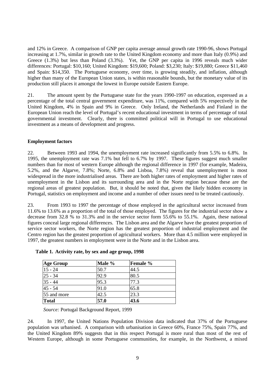and 12% in Greece. A comparison of GNP per capita average annual growth rate 1990-96, shows Portugal increasing at 1.7%, similar in growth rate to the United Kingdom economy and more than Italy (0.9%) and Greece (1.3%) but less than Poland (3.3%). Yet, the GNP per capita in 1996 reveals much wider differences: Portugal: \$10,160; United Kingdom: \$19,600; Poland: \$3,230; Italy: \$19,880; Greece \$11,460 and Spain: \$14,350. The Portuguese economy, over time, is growing steadily, and inflation, although higher than many of the European Union states, is within reasonable bounds, but the monetary value of its production still places it amongst the lowest in Europe outside Eastern Europe.

21. The amount spent by the Portuguese state for the years 1990-1997 on education, expressed as a percentage of the total central government expenditure, was 11%, compared with 5% respectively in the United Kingdom, 4% in Spain and 9% in Greece. Only Ireland, the Netherlands and Finland in the European Union reach the level of Portugal's recent educational investment in terms of percentage of total governmental investment. Clearly, there is committed political will in Portugal to use educational investment as a means of development and progress.

#### **Employment factors**

22. Between 1993 and 1994, the unemployment rate increased significantly from 5.5% to 6.8%. In 1995, the unemployment rate was 7.1% but fell to 6.7% by 1997. These figures suggest much smaller numbers than for most of western Europe although the regional difference in 1997 (for example, Madeira, 5.2%, and the Algarve, 7.8%; Norte, 6.8% and Lisboa, 7.8%) reveal that unemployment is most widespread in the more industrialised areas. There are both higher rates of employment and higher rates of unemployment in the Lisbon and its surrounding area and in the Norte region because these are the regional areas of greatest population. But, it should be noted that, given the likely hidden economy in Portugal, statistics on employment and income and a number of other issues need to be treated cautiously.

23. From 1993 to 1997 the percentage of those employed in the agricultural sector increased from 11.6% to 13.6% as a proportion of the total of those employed. The figures for the industrial sector show a decrease from 32.8 % to 31.3% and in the service sector form 55.6% to 55.1%. Again, these national figures conceal large regional differences. The Lisbon area and the Algarve have the greatest proportion of service sector workers, the Norte region has the greatest proportion of industrial employment and the Centro region has the greatest proportion of agricultural workers. More than 4.5 million were employed in 1997, the greatest numbers in employment were in the Norte and in the Lisbon area.

| <b>Age Group</b> | Male % | <b>Female</b> % |
|------------------|--------|-----------------|
| $15 - 24$        | 50.7   | 44.5            |
| $ 25 - 34 $      | 92.9   | 80.5            |
| $35 - 44$        | 95.3   | 77.3            |
| $45 - 54$        | 91.0   | 65.8            |
| 55 and more      | 42.5   | 23.3            |
| <b>Total</b>     | 57.0   | 43.6            |

|  |  |  | Table 1. Activity rate, by sex and age group, 1998 |  |  |  |  |  |  |  |
|--|--|--|----------------------------------------------------|--|--|--|--|--|--|--|
|--|--|--|----------------------------------------------------|--|--|--|--|--|--|--|

*Source:* Portugal Background Report, 1999

24. In 1997, the United Nations Population Division data indicated that 37% of the Portuguese population was urbanised. A comparison with urbanisation in Greece 60%, France 75%, Spain 77%, and the United Kingdom 89% suggests that in this respect Portugal is more rural than most of the rest of Western Europe, although in some Portuguese communities, for example, in the Northwest, a mixed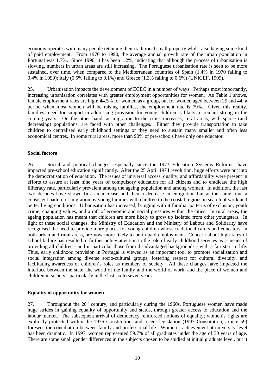economy operates with many people retaining their traditional small property whilst also having some kind of paid employment. From 1970 to 1990, the average annual growth rate of the urban population in Portugal was 1.7%. Since 1990, it has been 1.2%, indicating that although the process of urbanisation is slowing, numbers in urban areas are still increasing. The Portuguese urbanisation rate is seen to be more sustained, over time, when compared to the Mediterranean countries of Spain  $(1.4\%$  in 1970 falling to 0.4% in 1990); Italy (0.5% falling to 0.1%) and Greece (1.3% falling to 0.6%) (UNICEF, 1999).

25. Urbanisation impacts the development of ECEC in a number of ways. Perhaps most importantly, increasing urbanisation correlates with greater employment opportunities for women. As Table 1 shows, female employment rates are high: 44.5% for women as a group, but for women aged between 25 and 44, a period when most women will be raising families, the employment rate is 79%. Given this reality, families' need for support in addressing provision for young children is likely to remain strong in the coming years. On the other hand, as migration to the cities increases, rural areas, with sparse (and decreasing) populations, are faced with other challenges. Either they provide transportation to take children to centralised early childhood settings or they need to sustain many smaller and often less economical centres. In some rural areas, more than 90% of pre-schools have only one educator.

#### **Social factors**

26. Social and political changes, especially since the 1973 Education Systems Reforms, have impacted pre-school education significantly. After the 25 April 1974 revolution, huge efforts were put into the democratisation of education. The issues of universal access, quality, and affordability were present in efforts to assure at least nine years of compulsory education for all citizens and to eradicate the high illiteracy rate, particularly prevalent among the ageing population and among women. In addition, the last two decades have shown first an increase and then a decrease in emigration but at the same time a consistent pattern of migration by young families with children to the coastal regions in search of work and better living conditions. Urbanisation has increased, bringing with it familiar patterns of exclusion, youth crime, changing values, and a raft of economic and social pressures within the cities. In rural areas, the ageing population has meant that children are more likely to grow up isolated from other youngsters. In light of these social changes, the Ministry of Education and the Ministry of Labour and Solidarity have recognised the need to provide more places for young children whose traditional carers and educators, in both urban and rural areas, are now more likely to be in paid employment. Concern about high rates of school failure has resulted in further policy attention to the role of early childhood services as a means of providing all children - and in particular those from disadvantaged backgrounds - with a fair start in life. Thus, early childhood provision in Portugal is viewed as an important tool to promote socialisation and social integration among diverse socio-cultural groups, fostering respect for cultural diversity, and facilitating awareness of children's roles as members of society. All these changes have impacted the interface between the state, the world of the family and the world of work, and the place of women and children in society - particularly in the last six to seven years.

### **Equality of opportunity for women**

27. Throughout the  $20<sup>th</sup>$  century, and particularly during the 1960s. Portuguese women have made huge strides in gaining equality of opportunity and status, through greater access to education and the labour market. The subsequent arrival of democracy reinforced notions of equality; women's rights are explicitly protected within the 1976 Constitution, and recent legislation (1997 Constitution, article 59) foresees the conciliation between family and professional life. Women's achievement at university level has been dramatic. In 1997, women represented 59.7% of all graduates under the age of 30 years of age. There are some small gender differences in the subjects chosen to be studied at initial graduate level, but it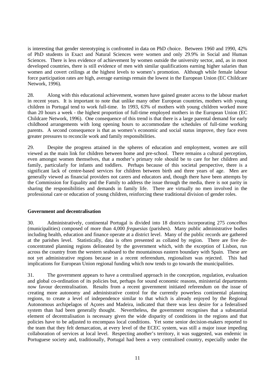is interesting that gender stereotyping is confronted in data on PhD choice. Between 1960 and 1990, 42% of PhD students in Exact and Natural Sciences were women and only 29.9% in Social and Human Sciences. There is less evidence of achievement by women outside the university sector, and, as in most developed countries, there is still evidence of men with similar qualifications earning higher salaries than women and covert ceilings at the highest levels to women's promotion. Although while female labour force participation rates are high, average earnings remain the lowest in the European Union (EC Childcare Network, 1996).

28. Along with this educational achievement, women have gained greater access to the labour market in recent years. It is important to note that unlike many other European countries, mothers with young children in Portugal tend to work full-time. In 1993, 63% of mothers with young children worked more than 20 hours a week - the highest proportion of full-time employed mothers in the European Union (EC Childcare Network, 1996). One consequence of this trend is that there is a large parental demand for early childhood arrangements with long opening hours to accommodate the schedules of full-time working parents. A second consequence is that as women's economic and social status improve, they face even greater pressures to reconcile work and family responsibilities.

29. Despite the progress attained in the spheres of education and employment, women are still viewed as the main link for children between home and pre-school. There remains a cultural perception, even amongst women themselves, that a mother's primary role should be to care for her children and family, particularly for infants and toddlers. Perhaps because of this societal perspective, there is a significant lack of centre-based services for children between birth and three years of age. Men are generally viewed as financial providers not carers and educators and, though there have been attempts by the Commission for Equality and the Family to address the issue through the media, there is not parity in sharing the responsibilities and demands in family life. There are virtually no men involved in the professional care or education of young children, reinforcing these traditional division of gender roles.

### **Government and decentralisation**

30. Administratively, continental Portugal is divided into 18 districts incorporating 275 *concelhos* (municipalities) composed of more than 4,000 *freguesias* (parishes). Many public administrative bodies including health, education and finance operate at a district level. Many of the public records are gathered at the parishes level. Statistically, data is often presented as collated by region. There are five deconcentrated planning regions delineated by the government which, with the exception of Lisbon, run across the country from the western seaboard to the mountainous eastern boundary with Spain. These are not yet administrative regions because in a recent referendum, regionalism was rejected. This had implications for European Union regional funding which now tends to go towards the municipalities.

31. The government appears to have a centralised approach in the conception, regulation, evaluation and global co-ordination of its policies but, perhaps for sound economic reasons, ministerial departments now favour decentralisation. Results from a recent government initiated referendum on the issue of creating more autonomy and administrative control for the currently powerless continental planning regions, to create a level of independence similar to that which is already enjoyed by the Regional Autonomous archipelagos of Açores and Madeira, indicated that there was less desire for a federalised system than had been generally thought. Nevertheless, the government recognises that a substantial element of decentralisation is necessary given the wide disparity of conditions in the regions and that policies have to be adjusted to encompass local conditions. Yet some senior decision-makers reported to the team that they felt demarcation, at every level of the ECEC system, was still a major issue impeding collaboration of services at local level. Respecting another's territory, it was suggested, was endemic in Portuguese society and, traditionally, Portugal had been a very centralised country, especially under the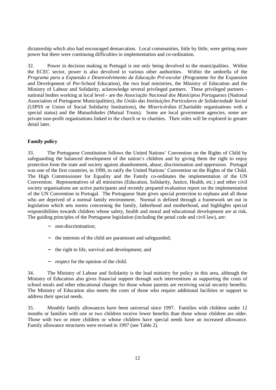dictatorship which also had encouraged demarcation. Local communities, little by little, were getting more power but there were continuing difficulties in implementation and co-ordination.

32. Power in decision making in Portugal is not only being devolved to the municipalities. Within the ECEC sector, power is also devolved to various other authorities. Within the umbrella of the Programa para a Expansão e Desenvolvimento da Educação Pré-escolar (Programme for the Expansion and Development of Pre-School Education), the two lead ministries, the Ministry of Education and the Ministry of Labour and Solidarity, acknowledge several privileged partners. These privileged partners national bodies working at local level - are the *Associação Nacional dos Munícipios Portugueses* (National Association of Portuguese Municipalities), the *União das Instituições Particulares de Solidariedade Social* (UIPSS or Union of Social Solidarity Institutions), the *Misericórdias* (Charitable organisations with a special status) and the *Mutualidades* (Mutual Trusts). Some are local government agencies, some are private non-profit organisations linked to the church or to charities. Their roles will be explored in greater detail later.

### **Family policy**

33. The Portuguese Constitution follows the United Nations' Convention on the Rights of Child by safeguarding the balanced development of the nation's children and by giving them the right to enjoy protection from the state and society against abandonment, abuse, discrimination and oppression. Portugal was one of the first countries, in 1990, to ratify the United Nations' Convention on the Rights of the Child. The High Commissioner for Equality and the Family co-ordinates the implementation of the UN Convention. Representatives of all ministries (Education, Solidarity, Justice, Health, etc.) and other civil society organisations are active participants and recently prepared evaluation report on the implementation of the UN Convention in Portugal. The Portuguese State gives special protection to orphans and all those who are deprived of a normal family environment. Normal is defined through a framework set out in legislation which sets norms concerning the family, fatherhood and motherhood, and highlights special responsibilities towards children whose safety, health and moral and educational development are at risk. The guiding principles of the Portuguese legislation (including the penal code and civil law), are:

- − non-discrimination;
- − the interests of the child are paramount and safeguarded;
- − the right to life, survival and development; and
- respect for the opinion of the child.

34. The Ministry of Labour and Solidarity is the lead ministry for policy in this area, although the Ministry of Education also gives financial support through such interventions as supporting the costs of school meals and other educational charges for those whose parents are receiving social security benefits. The Ministry of Education also meets the costs of those who require additional facilities or support to address their special needs.

35. Monthly family allowances have been universal since 1997. Families with children under 12 months or families with one or two children receive lower benefits than those whose children are older. Those with two or more children or whose children have special needs have an increased allowance. Family allowance structures were revised in 1997 (see Table 2).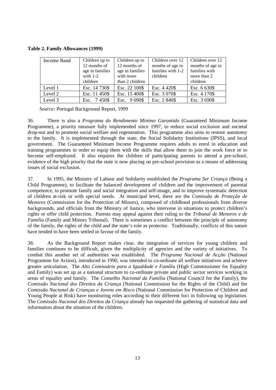**Table 2. Family Allowances (1999)**

| Income Band | Children up to<br>12 months of<br>age in families<br>with $1-2$<br>children | Children up to<br>12 months of<br>age in families<br>with more<br>than 2 children | Children over 12<br>months of age in<br>families with 1-2<br>children | Children over 12<br>months of age in<br>families with<br>more than 2<br>children |
|-------------|-----------------------------------------------------------------------------|-----------------------------------------------------------------------------------|-----------------------------------------------------------------------|----------------------------------------------------------------------------------|
| Level 1     | Esc. 14 730\$                                                               | Esc. 22 100\$                                                                     | Esc. 4420\$                                                           | Esc. 6 630\$                                                                     |
| Level 2     | Esc. 11 450\$                                                               | Esc. 15 400\$                                                                     | Esc. 3 070\$                                                          | Esc. 4 170\$                                                                     |
| Level 3     | Esc. 7450\$                                                                 | Esc. 9 690\$                                                                      | Esc. 2 840\$                                                          | Esc. 3 690\$                                                                     |

 *Source:* Portugal Background Report, 1999

36. There is also a *Programa do Rendimento Mínimo Garantido* (Guaranteed Minimum Income Programme), a priority measure fully implemented since 1997, to reduce social exclusion and societal drop-out and to promote social welfare and regeneration. This programme also aims to restore autonomy to the family. It is implemented through the state, the Social Solidarity Institutions (IPSS), and local government. The Guaranteed Minimum Income Programme requires adults to enrol in education and training programmes in order to equip them with the skills that allow them to join the work force or to become self-employed. It also requires the children of participating parents to attend a pre-school, evidence of the high priority that the state is now placing on pre-school provision as a means of addressing issues of social exclusion.

37. In 1995, the Ministry of Labour and Solidarity established the *Programa Ser Criança* (Being a Child Programme), to facilitate the balanced development of children and the improvement of parental competence, to promote family and social integration and self-image, and to improve systematic detection of children at-risk or with special needs. At municipal level, there are the *Comissão de Proteção de Menores* (Commission for the Protection of Minors), composed of childhood professionals from diverse backgrounds, and officials from the Ministry of Justice, who intervene in situations to protect children's rights or offer child protection. Parents may appeal against their ruling to the *Tribunal de Menores e de Família* (Family and Minors Tribunal). There is sometimes a conflict between the principle of autonomy of the family, the rights of the child and the state's role as protector. Traditionally, conflicts of this nature have tended to have been settled in favour of the family.

38. As the Background Report makes clear, the integration of services for young children and families continues to be difficult, given the multiplicity of agencies and the variety of initiatives. To combat this another set of authorities was established. The *Programa Nacional de Acção* (National Programme for Action), introduced in 1990, was intended to co-ordinate all welfare initiatives and achieve greater articulation. The *Alto Comissário para a Igualdade e Famíli*a (High Commissioner for Equality and Family) was set up as a national structure to co-ordinate private and public sector services working in areas of equality and family. The *Conselho Nacional da Familia* (National Council for the Family), the *Comissão Nacional dos Direitos da Criança* (National Commission for the Rights of the Child) and the *Comissão Nacional de Crianças e Jovens em Risco* (National Commission for Protection of Children and Young People at Risk) have monitoring roles according to their different foci in following up legislation. The *Comissão Nacional dos Direitos da Criança* already has requested the gathering of statistical data and information about the situation of the children.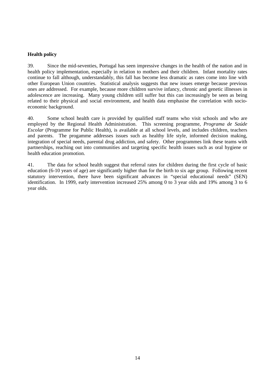### **Health policy**

39. Since the mid-seventies, Portugal has seen impressive changes in the health of the nation and in health policy implementation, especially in relation to mothers and their children. Infant mortality rates continue to fall although, understandably, this fall has become less dramatic as rates come into line with other European Union countries. Statistical analysis suggests that new issues emerge because previous ones are addressed. For example, because more children survive infancy, chronic and genetic illnesses in adolescence are increasing. Many young children still suffer but this can increasingly be seen as being related to their physical and social environment, and health data emphasise the correlation with socioeconomic background.

40. Some school health care is provided by qualified staff teams who visit schools and who are employed by the Regional Health Administration. This screening programme, *Programa de Saúde Escolar* (Programme for Public Health), is available at all school levels, and includes children, teachers and parents. The progamme addresses issues such as healthy life style, informed decision making, integration of special needs, parental drug addiction, and safety. Other programmes link these teams with partnerships, reaching out into communities and targeting specific health issues such as oral hygiene or health education promotion.

41. The data for school health suggest that referral rates for children during the first cycle of basic education (6-10 years of age) are significantly higher than for the birth to six age group. Following recent statutory intervention, there have been significant advances in "special educational needs" (SEN) identification. In 1999, early intervention increased 25% among 0 to 3 year olds and 19% among 3 to 6 year olds.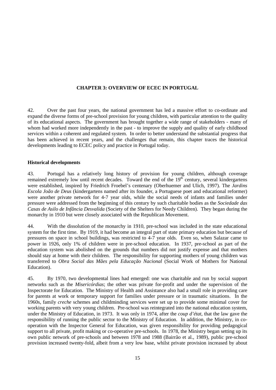### **CHAPTER 3: OVERVIEW OF ECEC IN PORTUGAL**

42. Over the past four years, the national government has led a massive effort to co-ordinate and expand the diverse forms of pre-school provision for young children, with particular attention to the quality of its educational aspects. The government has brought together a wide range of stakeholders - many of whom had worked more independently in the past - to improve the supply and quality of early childhood services within a coherent and regulated system. In order to better understand the substantial progress that has been achieved in recent years, and the challenges that remain, this chapter traces the historical developments leading to ECEC policy and practice in Portugal today.

### **Historical developments**

43. Portugal has a relatively long history of provision for young children, although coverage remained extremely low until recent decades. Toward the end of the 19<sup>th</sup> century, several kindergartens were established, inspired by Friedrich Froebel's centenary (Oberhuemer and Ulich, 1997). The *Jardins Escola João de Deus* (kindergartens named after its founder, a Portuguese poet and educational reformer) were another private network for 4-7 year olds, while the social needs of infants and families under pressure were addressed from the beginning of this century by such charitable bodies as the *Sociedade das Casas de Asilo de Infância Desvalida* (Society of the Shelters for Needy Children). They began during the monarchy in 1910 but were closely associated with the Republican Movement.

44. With the dissolution of the monarchy in 1910, pre-school was included in the state educational system for the first time. By 1919, it had become an integral part of state primary education but because of pressures on space in school buildings, was restricted to 4-7 year olds. Even so, when Salazar came to power in 1926, only 1% of children were in pre-school education. In 1937, pre-school as part of the education system was abolished on the grounds that numbers did not justify expense and that mothers should stay at home with their children. The responsibility for supporting mothers of young children was transferred to *Obra Social das Mães pela Educação Nacional* (Social Work of Mothers for National Education).

45. By 1970, two developmental lines had emerged: one was charitable and run by social support networks such as the *Misericórdias*; the other was private for-profit and under the supervision of the Inspectorate for Education. The Ministry of Health and Assistance also had a small role in providing care for parents at work or temporary support for families under pressure or in traumatic situations. In the 1960s, family *creche* schemes and childminding services were set up to provide some minimal cover for working parents with very young children. Pre-school was reintegrated into the national education system, under the Ministry of Education, in 1973. It was only in 1974, after the *coup d'état*, that the law gave the responsibility of running the public sector to the Ministry of Education. In addition, the Ministry, in cooperation with the Inspector General for Education, was given responsibility for providing pedagogical support to all private, profit making or co-operative pre-schools. In 1978, the Ministry began setting up its own public network of pre-schools and between 1978 and 1988 (Bairrão et al., 1989), public pre-school provision increased twenty-fold, albeit from a very low base, whilst private provision increased by about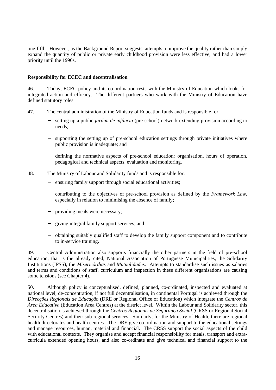one-fifth. However, as the Background Report suggests, attempts to improve the quality rather than simply expand the quantity of public or private early childhood provision were less effective, and had a lower priority until the 1990s.

#### **Responsibility for ECEC and decentralisation**

46. Today, ECEC policy and its co-ordination rests with the Ministry of Education which looks for integrated action and efficacy. The different partners who work with the Ministry of Education have defined statutory roles.

- 47. The central administration of the Ministry of Education funds and is responsible for:
	- − setting up a public *jardim de infância* (pre-school) network extending provision according to needs;
	- supporting the setting up of pre-school education settings through private initiatives where public provision is inadequate; and
	- − defining the normative aspects of pre-school education: organisation, hours of operation, pedagogical and technical aspects, evaluation and monitoring.
- 48. The Ministry of Labour and Solidarity funds and is responsible for:
	- ensuring family support through social educational activities;
	- − contributing to the objectives of pre-school provision as defined by the *Framework Law*, especially in relation to minimising the absence of family;
	- providing meals were necessary;
	- giving integral family support services; and
	- − obtaining suitably qualified staff to develop the family support component and to contribute to in-service training.

49. Central Administration also supports financially the other partners in the field of pre-school education, that is the already cited, National Association of Portuguese Municipalities, the Solidarity Institutions (IPSS), the *Misericórdias* and *Mutualidades*. Attempts to standardise such issues as salaries and terms and conditions of staff, curriculum and inspection in these different organisations are causing some tensions (see Chapter 4).

50. Although policy is conceptualised, defined, planned, co-ordinated, inspected and evaluated at national level, de-concentration, if not full decentralisation, in continental Portugal is achieved through the *Direcções Regionais de Educação* (DRE or Regional Office of Education) which integrate the *Centros de Área Educativa* (Education Area Centres) at the district level. Within the Labour and Solidarity sector, this decentralisation is achieved through the *Centros Regionais de Segurança Social* (CRSS or Regional Social Security Centres) and their sub-regional services. Similarly, for the Ministry of Health, there are regional health directorates and health centres. The DRE give co-ordination and support to the educational settings and manage resources, human, material and financial. The CRSS support the social aspects of the child with educational contexts. They organise and accept financial responsibility for meals, transport and extracurricula extended opening hours, and also co-ordinate and give technical and financial support to the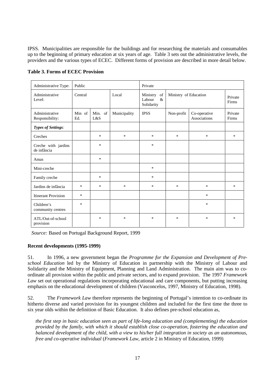IPSS. Municipalities are responsible for the buildings and for researching the materials and consumables up to the beginning of primary education at six years of age. Table 3 sets out the administrative levels, the providers and the various types of ECEC. Different forms of provision are described in more detail below.

| Administrative Type:               | Public        |                |              | Private                                     |                       |                              |                  |
|------------------------------------|---------------|----------------|--------------|---------------------------------------------|-----------------------|------------------------------|------------------|
| Administrative<br>Level:           | Central       |                | Local        | Ministry of<br>Labour<br>$\&$<br>Solidarity | Ministry of Education |                              | Private<br>Firms |
| Administrative<br>Responsibility:  | Min of<br>Ed. | Min. of<br>L&S | Municipality | <b>IPSS</b>                                 | Non-profit            | Co-operative<br>Associations | Private<br>Firms |
| Types of Settings:                 |               |                |              |                                             |                       |                              |                  |
| Creches                            |               | $\ast$         | *            | $\ast$                                      | *                     | $\ast$                       | *                |
| Creche with jardins<br>de infância |               | $\ast$         |              | $\ast$                                      |                       |                              |                  |
| Amas                               |               | $\ast$         |              |                                             |                       |                              |                  |
| Mini-creche                        |               |                |              | $\ast$                                      |                       |                              |                  |
| Family creche                      |               | $\ast$         |              | $\ast$                                      |                       |                              |                  |
| Jardins de infância                | $\ast$        | $\ast$         | *            | *                                           | *                     | $\ast$                       | *                |
| <b>Itinerant Provision</b>         | $\ast$        |                |              |                                             |                       | $*$                          |                  |
| Children's<br>community centres    | $\ast$        |                |              |                                             |                       | $*$                          |                  |
| ATL/Out-of-school<br>provision     |               | $\ast$         | *            | $\ast$                                      | $\ast$                | $\ast$                       | $\ast$           |

**Table 3. Forms of ECEC Provision**

 *Source:* Based on Portugal Background Report, 1999

### **Recent developments (1995-1999)**

51. In 1996, a new government began the *Programme for the Expansion and Development of Preschool Education* led by the Ministry of Education in partnership with the Ministry of Labour and Solidarity and the Ministry of Equipment, Planning and Land Administration. The main aim was to coordinate all provision within the public and private sectors, and to expand provision. The 1997 *Framework Law* set out operational regulations incorporating educational and care components, but putting increasing emphasis on the educational development of children (Vasconcelos, 1997, Ministry of Education, 1998).

52. The *Framework Law* therefore represents the beginning of Portugal's intention to co-ordinate its hitherto diverse and varied provision for its youngest children and included for the first time the three to six year olds within the definition of Basic Education. It also defines pre-school education as,

*the first step in basic education seen as part of life-long education and (complementing) the education provided by the family, with which it should establish close co-operation, fostering the education and balanced development of the child, with a view to his/her full integration in society as an autonomous, free and co-operative individual* (*Framework Law*, article 2 in Ministry of Education, 1999)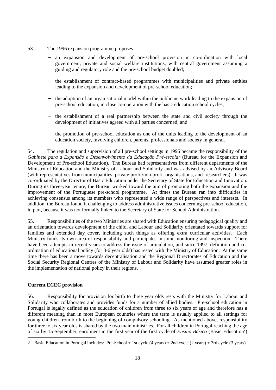- 53. The 1996 expansion programme proposes:
	- an expansion and development of pre-school provision in co-ordination with local government, private and social welfare institutions, with central government assuming a guiding and regulatory role and the pre-school budget doubled;
	- − the establishment of contract-based programmes with municipalities and private entities leading to the expansion and development of pre-school education;
	- the adoption of an organisational model within the public network leading to the expansion of pre-school education, in close co-operation with the basic education school cycles;
	- − the establishment of a real partnership between the state and civil society through the development of initiatives agreed with all parties concerned; and
	- the promotion of pre-school education as one of the units leading to the development of an education society, involving children, parents, professionals and society in general.

54. The regulation and supervision of all pre-school settings in 1996 became the responsibility of the *Gabinete para a Expansão e Desenvolvimento da Educação Pré-escolar* (Bureau for the Expansion and Development of Pre-school Education). The Bureau had representatives from different departments of the Ministry of Education and the Ministry of Labour and Solidarity and was advised by an Advisory Board (with representatives from municipalities, private profit/non-profit organisations, and researchers). It was co-ordinated by the Director of Basic Education under the Secretary of State for Education and Innovation. During its three-year tenure, the Bureau worked toward the aim of promoting both the expansion and the improvement of the Portuguese pre-school programme. At times the Bureau ran into difficulties in achieving consensus among its members who represented a wide range of perspectives and interests. In addition, the Bureau found it challenging to address administrative issues concerning pre-school education, in part, because it was not formally linked to the Secretary of State for School Administration.

55. Responsibilities of the two Ministries are shared with Education ensuring pedagogical quality and an orientation towards development of the child, and Labour and Solidarity orientated towards support for families and extended day cover, including such things as offering extra curricular activities. Each Ministry funds its own area of responsibility and participates in joint monitoring and inspection. There have been attempts in recent years to address the issue of articulation, and since 1997, definition and coordination of educational policy (for 3-6 year olds) has rested with the Ministry of Education. At the same time there has been a move towards decentralisation and the Regional Directorates of Education and the Social Security Regional Centres of the Ministry of Labour and Solidarity have assumed greater roles in the implementation of national policy in their regions.

### **Current ECEC provision**

-

56. Responsibility for provision for birth to three year olds rests with the Ministry for Labour and Solidarity who collaborates and provides funds for a number of allied bodies. Pre-school education in Portugal is legally defined as the education of children from three to six years of age and therefore has a different meaning than in most European countries where the term is usually applied to all settings for young children from birth to the beginning of compulsory schooling. As mentioned above, responsibility for three to six year olds is shared by the two main ministries. For all children in Portugal reaching the age of six by 15 September, enrolment in the first year of the first cycle of *Ensino Básico* (Basic Education<sup>2</sup>)

<sup>2</sup> Basic Education in Portugal includes: Pre-School + 1st cycle (4 years) + 2nd cycle (2 years) + 3rd cycle (3 years).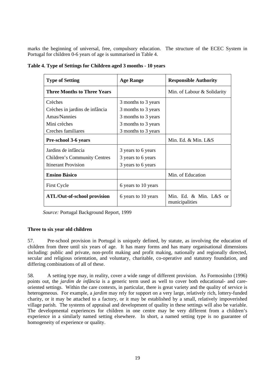marks the beginning of universal, free, compulsory education. The structure of the ECEC System in Portugal for children 0-6 years of age is summarised in Table 4.

| <b>Type of Setting</b>             | <b>Age Range</b>    | <b>Responsible Authority</b>             |  |  |
|------------------------------------|---------------------|------------------------------------------|--|--|
| <b>Three Months to Three Years</b> |                     | Min. of Labour & Solidarity              |  |  |
| Crèches                            | 3 months to 3 years |                                          |  |  |
| Crèches in jardins de infância     | 3 months to 3 years |                                          |  |  |
| Amas/Nannies                       | 3 months to 3 years |                                          |  |  |
| Mini crèches                       | 3 months to 3 years |                                          |  |  |
| Creches familiares                 | 3 months to 3 years |                                          |  |  |
| <b>Pre-school 3-6 years</b>        |                     | Min. Ed. & Min. L&S                      |  |  |
| Jardins de infância                | 3 years to 6 years  |                                          |  |  |
| Children's Community Centres       | 3 years to 6 years  |                                          |  |  |
| <b>Itinerant Provision</b>         | 3 years to 6 years  |                                          |  |  |
| <b>Ensino Básico</b>               |                     | Min. of Education                        |  |  |
| <b>First Cycle</b>                 | 6 years to 10 years |                                          |  |  |
| <b>ATL/Out-of-school provision</b> | 6 years to 10 years | Min. Ed. & Min. L&S or<br>municipalities |  |  |

**Table 4. Type of Settings for Children aged 3 months - 10 years**

 *Source:* Portugal Background Report, 1999

### **Three to six year old children**

57. Pre-school provision in Portugal is uniquely defined, by statute, as involving the education of children from three until six years of age. It has many forms and has many organisational dimensions including: public and private, non-profit making and profit making, nationally and regionally directed, secular and religious orientation, and voluntary, charitable, co-operative and statutory foundation, and differing combinations of all of these.

58. A setting type may, in reality, cover a wide range of different provision. As Formosinho (1996) points out, the *jardim de infância* is a generic term used as well to cover both educational- and careoriented settings. Within the care contexts, in particular, there is great variety and the quality of service is heterogeneous. For example, a *jardim* may rely for support on a very large, relatively rich, lottery-funded charity, or it may be attached to a factory, or it may be established by a small, relatively impoverished village parish. The systems of appraisal and development of quality in these settings will also be variable. The developmental experiences for children in one centre may be very different from a children's experience in a similarly named setting elsewhere. In short, a named setting type is no guarantee of homogeneity of experience or quality.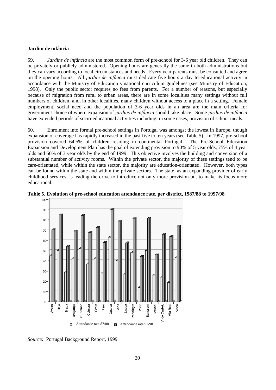### **Jardim de infância**

59. *Jardins de infância* are the most common form of pre-school for 3-6 year old children. They can be privately or publicly administered. Opening hours are generally the same in both administrations but they can vary according to local circumstances and needs. Every year parents must be consulted and agree on the opening hours. All *jardim de infância* must dedicate five hours a day to educational activity in accordance with the Ministry of Education's national curriculum guidelines (see Ministry of Education, 1998). Only the public sector requires no fees from parents. For a number of reasons, but especially because of migration from rural to urban areas, there are in some localities many settings without full numbers of children, and, in other localities, many children without access to a place in a setting. Female employment, social need and the population of 3-6 year olds in an area are the main criteria for government choice of where expansion of *jardins de infância* should take place. Some *jardins de infância* have extended periods of socio-educational activities including, in some cases, provision of school meals.

60. Enrolment into formal pre-school settings in Portugal was amongst the lowest in Europe, though expansion of coverage has rapidly increased in the past five to ten years (see Table 5). In 1997, pre-school provision covered 64.5% of children residing in continental Portugal. The Pre-School Education Expansion and Development Plan has the goal of extending provision to 90% of 5 year olds, 75% of 4 year olds and 60% of 3 year olds by the end of 1999. This objective involves the building and conversion of a substantial number of activity rooms. Within the private sector, the majority of these settings tend to be care-orientated, while within the state sector, the majority are education-orientated. However, both types can be found within the state and within the private sectors. The state, as an expanding provider of early childhood services, is leading the drive to introduce not only more provision but to make its focus more educational.



**Table 5. Evolution of pre-school education attendance rate, per district, 1987/88 to 1997/98**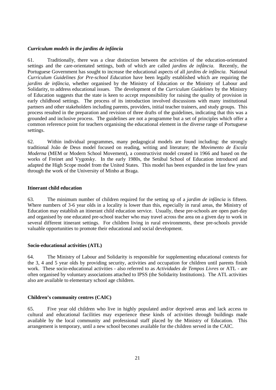#### *Curriculum models in the jardins de infância*

61. Traditionally, there was a clear distinction between the activities of the education-orientated settings and the care-orientated settings, both of which are called *jardins de infância*. Recently, the Portuguese Government has sought to increase the educational aspects of all *jardins de infância*. National *Curriculum Guidelines for Pre-school Education* have been legally established which are requiring the *jardins de infância*, whether organised by the Ministry of Education or the Ministry of Labour and Solidarity, to address educational issues. The development of the *Curriculum Guidelines* by the Ministry of Education suggests that the state is keen to accept responsibility for raising the quality of provision in early childhood settings. The process of its introduction involved discussions with many institutional partners and other stakeholders including parents, providers, initial teacher trainers, and study groups. This process resulted in the preparation and revision of three drafts of the guidelines, indicating that this was a grounded and inclusive process. The guidelines are not a programme but a set of principles which offer a common reference point for teachers organising the educational element in the diverse range of Portuguese settings.

62. Within individual programmes, many pedagogical models are found including: the strongly traditional João de Deus model focused on reading, writing and literature; the *Movimento de Escola Moderna* (MEM or Modern School Movement), a constructivist model created in 1966 and based on the works of Freinet and Vygotsky. In the early 1980s, the Setúbal School of Education introduced and adapted the High Scope model from the United States. This model has been expanded in the last few years through the work of the University of Minho at Braga.

### **Itinerant child education**

63. The minimum number of children required for the setting up of a *jardim de infância* is fifteen. Where numbers of 3-6 year olds in a locality is lower than this, especially in rural areas, the Ministry of Education may establish an itinerant child education service. Usually, these pre-schools are open part-day and organised by one educated pre-school teacher who may travel across the area on a given day to work in several different itinerant settings. For children living in rural environments, these pre-schools provide valuable opportunities to promote their educational and social development.

### **Socio-educational activities (ATL)**

64. The Ministry of Labour and Solidarity is responsible for supplementing educational contexts for the 3, 4 and 5 year olds by providing security, activities and occupation for children until parents finish work. These socio-educational activities - also referred to as *Actividades de Tempos Livres* or ATL - are often organised by voluntary associations attached to IPSS (the Solidarity Institutions). The ATL activities also are available to elementary school age children.

### **Children's community centres (CAIC)**

65. Five year old children who live in highly populated and/or deprived areas and lack access to cultural and educational facilities may experience these kinds of activities through buildings made available by the local community and professional staff placed by the Ministry of Education. This arrangement is temporary, until a new school becomes available for the children served in the CAIC.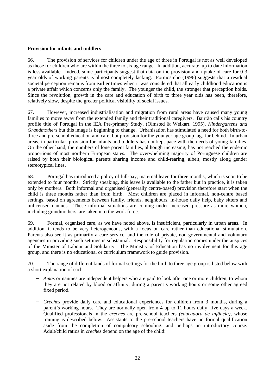### **Provision for infants and toddlers**

66. The provision of services for children under the age of three in Portugal is not as well developed as those for children who are within the three to six age range. In addition, accurate, up to date information is less available. Indeed, some participants suggest that data on the provision and uptake of care for 0-3 year olds of working parents is almost completely lacking. Formosinho (1996) suggests that a residual societal perception remains from earlier times when it was considered that all early childhood education is a private affair which concerns only the family. The younger the child, the stronger that perception holds. Since the revolution, growth in the care and education of birth to three year olds has been, therefore, relatively slow, despite the greater political visibility of social issues.

67. However, increased industrialisation and migration from rural areas have caused many young families to move away from the extended family and their traditional caregivers. Bairrão calls his country profile title of Portugal in the IEA Pre-primary Study, (Olmsted & Weikart, 1995), *Kindergartens and Grandmothers* but this image is beginning to change. Urbanisation has stimulated a need for both birth-tothree and pre-school education and care, but provision for the younger age group lags far behind. In urban areas, in particular, provision for infants and toddlers has not kept pace with the needs of young families. On the other hand, the numbers of lone parent families, although increasing, has not reached the endemic proportions of most northern European states. The overwhelming majority of Portuguese children are raised by both their biological parents sharing income and child-rearing, albeit, mostly along gender stereotypical lines.

68. Portugal has introduced a policy of full-pay, maternal leave for three months, which is soon to be extended to four months. Strictly speaking, this leave is available to the father but in practice, it is taken only by mothers. Both informal and organised (generally centre-based) provision therefore start when the child is three months rather than from birth. Most children are placed in informal, non-centre based settings, based on agreements between family, friends, neighbours, in-house daily help, baby sitters and unlicensed nannies. These informal situations are coming under increased pressure as more women, including grandmothers, are taken into the work force.

69. Formal, organised care, as we have noted above, is insufficient, particularly in urban areas. In addition, it tends to be very heterogeneous, with a focus on care rather than educational stimulation. Parents also see it as primarily a care service, and the role of private, non-governmental and voluntary agencies in providing such settings is substantial. Responsibility for regulation comes under the auspices of the Minister of Labour and Solidarity. The Ministry of Education has no involvement for this age group, and there is no educational or curriculum framework to guide provision.

70. The range of different kinds of formal settings for the birth to three age group is listed below with a short explanation of each.

- *Amas* or nannies are independent helpers who are paid to look after one or more children, to whom they are not related by blood or affinity, during a parent's working hours or some other agreed fixed period.
- − *Creches* provide daily care and educational experiences for children from 3 months, during a parent's working hours. They are normally open from 4 up to 11 hours daily, five days a week. Qualified professionals in the *creches* are pre-school teachers *(educadora de infância)*, whose training is described below. Assistants to the pre-school teachers have no formal qualification aside from the completion of compulsory schooling, and perhaps an introductory course. Adult/child ratios in *creches* depend on the age of the child: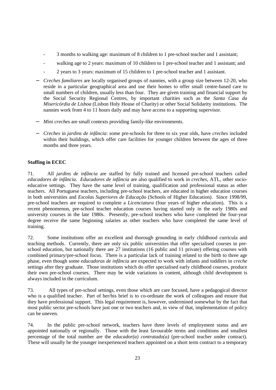- 3 months to walking age: maximum of 8 children to 1 pre-school teacher and 1 assistant;
- walking age to 2 years: maximum of 10 children to 1 pre-school teacher and 1 assistant; and
- 2 years to 3 years: maximum of 15 children to 1 pre-school teacher and 1 assistant.
- − *Creches familiares* are locally organised groups of nannies, with a group size between 12-20, who reside in a particular geographical area and use their homes to offer small centre-based care to small numbers of children, usually less than four. They are given training and financial support by the Social Security Regional Centres, by important charities such as the *Santa Casa da Misericórdia de Lisboa* (Lisbon Holy House of Charity) or other Social Solidarity institutions. The nannies work from 4 to 11 hours daily and may have access to a supporting supervisor.
- − *Mini creches* are small contexts providing family-like environments.
- − *Creches* in *jardins de infância*: some pre-schools for three to six year olds, have *creches* included within their buildings, which offer care facilities for younger children between the ages of three months and three years.

### **Staffing in ECEC**

71. All *jardins de infância* are staffed by fully trained and licensed pre-school teachers called *educadores de infância*. *Educadores de infância* are also qualified to work in *creches*, ATL, other socioeducative settings. They have the same level of training, qualification and professional status as other teachers. All Portuguese teachers, including pre-school teachers, are educated in higher education courses in both universities and *Escolas Superiores de Educação* (Schools of Higher Education). Since 1998/99, pre-school teachers are required to complete a *Licenciatura* (four years of higher education). This is a recent phenomenon, pre-school teacher education courses having started only in the early 1980s and university courses in the late 1980s. Presently, pre-school teachers who have completed the four-year degree receive the same beginning salaries as other teachers who have completed the same level of training.

72. Some institutions offer an excellent and thorough grounding in early childhood curricula and teaching methods. Currently, there are only six public universities that offer specialised courses in preschool education, but nationally there are 27 institutions (16 public and 11 private) offering courses with combined primary/pre-school focus. There is a particular lack of training related to the birth to three age phase, even though some *educadoras de infância* are expected to work with infants and toddlers in *creche* settings after they graduate. Those institutions which do offer specialised early childhood courses, produce their own pre-school courses. There may be wide variations in content, although child development is always included in the curriculum.

73. All types of pre-school settings, even those which are care focused, have a pedagogical director who is a qualified teacher. Part of her/his brief is to co-ordinate the work of colleagues and ensure that they have professional support. This legal requirement is, however, undermined somewhat by the fact that most public sector pre-schools have just one or two teachers and, in view of that, implementation of policy can be uneven.

74. In the public pre-school network, teachers have three levels of employment status and are appointed nationally or regionally. Those with the least favourable terms and conditions and smallest percentage of the total number are the *educador(a) contratado(a)* (pre-school teacher under contract). These will usually be the younger inexperienced teachers appointed on a short term contract to a temporary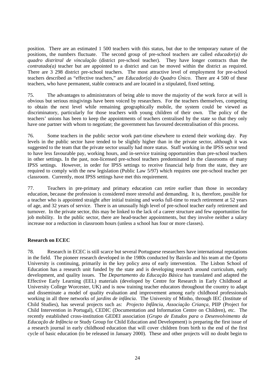position. There are an estimated 1 500 teachers with this status, but due to the temporary nature of the positions, the numbers fluctuate. The second group of pre-school teachers are called *educador(a) do quadro distritral de vinculação* (district pre-school teacher). They have longer contracts than the *contratado(a)* teacher but are appointed to a district and can be moved within the district as required. There are 3 298 district pre-school teachers. The most attractive level of employment for pre-school teachers described as "effective teachers," are *Educador(a) do Quadro Único*. There are 4 500 of these teachers, who have permanent, stable contracts and are located in a stipulated, fixed setting.

75. The advantages to administrators of being able to move the majority of the work force at will is obvious but serious misgivings have been voiced by researchers. For the teachers themselves, competing to obtain the next level while remaining geographically mobile, the system could be viewed as discriminatory, particularly for those teachers with young children of their own. The policy of the teachers' unions has been to keep the appointments of teachers centralised by the state so that they only have one partner with whom to negotiate; the government has favoured decentralisation of this process.

76. Some teachers in the public sector work part-time elsewhere to extend their working day. Pay levels in the public sector have tended to be slightly higher than in the private sector, although it was suggested to the team that the private sector usually had more status. Staff working in the IPSS sector tend to have less favourable pay, working hours, and in-service training opportunities than pre-school teachers in other settings. In the past, non-licensed pre-school teachers predominated in the classrooms of many IPSS settings. However, in order for IPSS settings to receive financial help from the state, they are required to comply with the new legislation (Public Law 5/97) which requires one pre-school teacher per classroom. Currently, most IPSS settings have met this requirement.

77. Teachers in pre-primary and primary education can retire earlier than those in secondary education, because the profession is considered more stressful and demanding. It is, therefore, possible for a teacher who is appointed straight after initial training and works full-time to reach retirement at 52 years of age, and 32 years of service. There is an unusually high level of pre-school teacher early retirement and turnover. In the private sector, this may be linked to the lack of a career structure and few opportunities for job mobility. In the public sector, there are head-teacher appointments, but they involve neither a salary increase nor a reduction in classroom hours (unless a school has four or more classes).

#### **Research on ECEC**

78. Research in ECEC is still scarce but several Portuguese researchers have international reputations in the field. The pioneer research developed in the 1980s conducted by Bairrão and his team at the Oporto University is continuing, primarily in the key policy area of early intervention. The Lisbon School of Education has a research unit funded by the state and is developing research around curriculum, early development, and quality issues. The *Departamento da Educação Básica* has translated and adapted the Effective Early Learning (EEL) materials (developed by Centre for Research in Early Childhood at University College Worcester, UK) and is now training teacher educators throughout the country to adapt and disseminate a model of quality evaluation and improvement among early childhood professionals working in all three networks of *jardins de infância*. The University of Minho, through IEC (Institute of Child Studies), has several projects such as: *Projecto Infância*, *Associação Criança*, PIIP (Project for Child Intervention in Portugal), CEDIC (Documentation and Information Centre on Children), etc. The recently established cross-institution GEDEI association (*Grupo de Estudos para o Desenvolvimento da Educação de Infância* or Study Group for Child Education and Development) is preparing the first issue of a research journal in early childhood education that will cover children from birth to the end of the first cycle of basic education (to be released in January 2000). These and other projects will no doubt begin to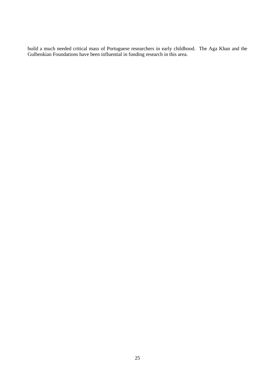build a much needed critical mass of Portuguese researchers in early childhood. The Aga Khan and the Gulbenkian Foundations have been influential in funding research in this area.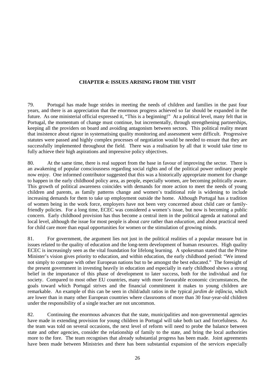### **CHAPTER 4: ISSUES ARISING FROM THE VISIT**

79. Portugal has made huge strides in meeting the needs of children and families in the past four years, and there is an appreciation that the enormous progress achieved so far should be expanded in the future. As one ministerial official expressed it, "This is a beginning!" At a political level, many felt that in Portugal, the momentum of change must continue, but incrementally, through strengthening partnerships, keeping all the providers on board and avoiding antagonism between sectors. This political reality meant that insistence about rigour in systematising quality monitoring and assessment were difficult. Progressive statutes were passed and highly complex processes of negotiation would be needed to ensure that they are successfully implemented throughout the field. There was a realisation by all that it would take time to fully achieve their high aspirations and impressive policy objectives.

80. At the same time, there is real support from the base in favour of improving the sector. There is an awakening of popular consciousness regarding social rights and of the political power ordinary people now enjoy. One informed contributor suggested that this was a historically appropriate moment for change to happen in the early childhood policy area, as people, especially women, are becoming politically aware. This growth of political awareness coincides with demands for more action to meet the needs of young children and parents, as family patterns change and women's traditional role is widening to include increasing demands for them to take up employment outside the home. Although Portugal has a tradition of women being in the work force, employers have not been very concerned about child care or familyfriendly policies. For a long time, ECEC was considered a women's issue, but now is becoming a public concern. Early childhood provision has thus become a central item in the political agenda at national and local level, although the issue for most people is about *care* rather than *education*, and about practical need for child care more than equal opportunities for women or the stimulation of growing minds.

81. For government, the argument lies not just in the political realities of a popular measure but in issues related to the quality of education and the long-term development of human resources. High quality ECEC is increasingly seen as the vital foundation for lifelong learning. A spokesman stated that the Prime Minister's vision gives priority to education, and within education, the early childhood period: "We intend not simply to compare with other European nations but to be amongst the best educated." The foresight of the present government in investing heavily in education and especially in early childhood shows a strong belief in the importance of this phase of development to later success, both for the individual and for society. Compared to most other EU countries, many with more favourable economic circumstances, the goals toward which Portugal strives and the financial commitment it makes to young children are remarkable. An example of this can be seen in child/adult ratios in the typical *jardim de infância*, which are lower than in many other European countries where classrooms of more than 30 four-year-old children under the responsibility of a single teacher are not uncommon.

82. Continuing the enormous advances that the state, municipalities and non-governmental agencies have made in extending provision for young children in Portugal will take both tact and forcefulness. As the team was told on several occasions, the next level of reform will need to probe the balance between state and other agencies, consider the relationship of family to the state, and bring the local authorities more to the fore. The team recognises that already substantial progress has been made. Joint agreements have been made between Ministries and there has been substantial expansion of the services especially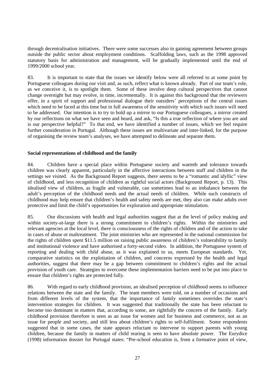through decentralisation initiatives. There were some successes also in gaining agreement between groups outside the public sector about employment conditions. Scaffolding laws, such as the 1998 approved statutory basis for administration and management, will be gradually implemented until the end of 1999/2000 school year.

83. It is important to state that the issues we identify below were all referred to at some point by Portuguese colleagues during our visit and, as such, reflect what is known already. Part of our team's role, as we conceive it, is to spotlight them. Some of these involve deep cultural perspectives that cannot change overnight but may evolve, in time, incrementally. It is against this background that the reviewers offer, in a spirit of support and professional dialogue their outsiders' perceptions of the central issues which need to be faced at this time but in full awareness of the sensitivity with which such issues will need to be addressed. Our intention is to try to hold up a mirror to our Portuguese colleagues, a mirror created by our reflections on what we have seen and heard, and ask, "Is this a true reflection of where you are and is our perspective helpful?" To that end, we have identified a number of issues, which we feel require further consideration in Portugal. Although these issues are multivariate and inter-linked, for the purpose of organising the review team's analyses, we have attempted to delineate and separate them.

#### **Social representations of childhood and the family**

84. Children have a special place within Portuguese society and warmth and tolerance towards children was clearly apparent, particularly in the affective interactions between staff and children in the settings we visited. As the Background Report suggests, there seems to be a "romantic and idyllic" view of childhood, and less recognition of children as rightful social actors (Background Report, p. 13). This idealised view of children, as fragile and vulnerable, can sometimes lead to an imbalance between the adult's perception of the childhood needs and the actual needs of children. While such constructs of childhood may help ensure that children's health and safety needs are met, they also can make adults over protective and limit the child's opportunities for exploration and appropriate stimulation.

85. Our discussions with health and legal authorities suggest that at the level of policy making and within society-at-large there is a strong commitment to children's rights. Within the ministries and relevant agencies at the local level, there is consciousness of the rights of children and of the action to take in cases of abuse or maltreatment. The joint ministries who are represented in the national commission for the rights of children spent \$11.5 million on raising public awareness of children's vulnerability to family and institutional violence and have authorised a forty-second video. In addition, the Portuguese system of reporting and dealing with child abuse, as it was explained to us, meets European standards. Yet, comparative statistics on the exploitation of children, and concerns expressed by the health and legal authorities, suggest that there may be a gap between commitment to children's rights and the actual provision of youth care. Strategies to overcome these implementation barriers need to be put into place to ensure that children's rights are protected fully.

86. With regard to early childhood provision, an idealised perception of childhood seems to influence relations between the state and the family. The team members were told, on a number of occasions and from different levels of the system, that the importance of family sometimes overrides the state's intervention strategies for children. It was suggested that traditionally the state has been reluctant to become too dominant in matters that, according to some, are rightfully the concern of the family. Early childhood provision therefore is seen as an issue for women and for business and commerce, not as an issue for people and society, and still less about children's rights to self-fulfilment. Some respondents suggested that in some cases, the state appears reluctant to intervene to support parents with young children, because the family in matters of child rearing is seen to have absolute power. The Eurydice (1998) information dossier for Portugal states: "Pre-school education is, from a formative point of view,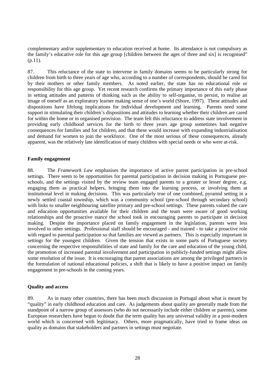complementary and/or supplementary to education received at home. Its attendance is not compulsory as the family's educative role for this age group [children between the ages of three and six] is recognised" (p.11).

87. This reluctance of the state to intervene in family domains seems to be particularly strong for children from birth to three years of age who, according to a number of correspondents, should be cared for by their mothers or other family members. As noted earlier, the state has no educational role or responsibility for this age group. Yet recent research confirms the primary importance of this early phase in setting attitudes and patterns of thinking such as the ability to self-organise, to persist, to realise an image of oneself as an exploratory learner making sense of one's world (Shore, 1997). These attitudes and dispositions have lifelong implications for individual development and learning. Parents need some support in stimulating their children's dispositions and attitudes to learning whether their children are cared for within the home or in organised provision. The team felt this reluctance to address state involvement in providing early childhood services for the birth to three years age group sometimes had negative consequences for families and for children, and that these would increase with expanding industrialisation and demand for women to join the workforce. One of the most serious of these consequences, already apparent, was the relatively late identification of many children with special needs or who were at-risk.

#### **Family engagement**

88. The *Framework Law* emphasises the importance of active parent participation in pre-school settings. There seem to be opportunities for parental participation in decision making in Portuguese preschools, and the settings visited by the review team engaged parents to a greater or lesser degree, e.g. engaging them as practical helpers, bringing them into the learning process, or involving them at institutional level in making decisions. This was particularly true of one combined, pyramid setting in a newly settled coastal township, which was a community school (pre-school through secondary school) with links to smaller neighbouring satellite primary and pre-school settings. These parents valued the care and education opportunities available for their children and the team were aware of good working relationships and the proactive stance the school took in encouraging parents to participate in decision making. Despite the importance placed on family engagement in the legislation, parents were less involved in other settings. Professional staff should be encouraged - and trained - to take a proactive role with regard to parental participation so that families are viewed as partners. This is especially important in settings for the youngest children. Given the tension that exists in some parts of Portuguese society concerning the respective responsibilities of state and family for the care and education of the young child, the promotion of increased parental involvement and participation in publicly-funded settings might allow some resolution of the issue. It is encouraging that parent associations are among the privileged partners in the formulation of national educational policies, a shift that is likely to have a positive impact on family engagement in pre-schools in the coming years.

#### **Quality and access**

89. As in many other countries, there has been much discussion in Portugal about what is meant by "quality" in early childhood education and care. As judgements about quality are generally made from the standpoint of a narrow group of assessors (who do not necessarily include either children or parents), some European researchers have begun to doubt that the term quality has any universal validity in a post-modern world which is concerned with legitimacy. Others, more pragmatically, have tried to frame ideas on quality as domains that stakeholders and partners in settings must negotiate.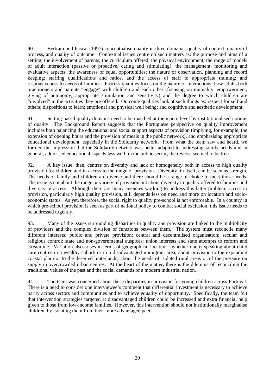90. Bertram and Pascal (1997) conceptualise quality in three domains: quality of context, quality of process, and quality of outcome. Contextual issues centre on such matters as: the purpose and aims of a setting; the involvement of parents; the curriculum offered; the physical environment; the range of models of adult interaction (passive or proactive, caring and stimulating); the management, monitoring and evaluative aspects; the awareness of equal opportunities; the nature of observation, planning and record keeping; staffing qualifications and ratios, and the access of staff to appropriate training; and responsiveness to needs of families. Process qualities focus on the nature of interactions: how adults both practitioners and parents "engage" with children and each other (focusing on mutuality, empowerment, giving of autonomy, appropriate stimulation and sensitivity) and the degree to which children are "involved" in the activities they are offered. Outcome qualities look at such things as: respect for self and others; dispositions to learn; emotional and physical well being; and cognitive and aesthetic development.

91. Setting-based quality domains need to be matched at the macro level by institutionalised notions of quality. The Background Report suggests that the Portuguese perspective on quality improvement includes both balancing the educational and social support aspects of provision (implying, for example, the extension of opening hours and the provision of meals in the public network), and emphasising appropriate educational development, especially in the Solidarity network. From what the team saw and heard, we formed the impression that the Solidarity network was better adapted to addressing family needs and in general, addressed educational aspects less well; in the public sector, the reverse seemed to be true.

92. A key issue, then, centres on diversity and lack of homogeneity both in access to high quality provision for children and in access to the range of provision. Diversity, in itself, can be seen as strength. The needs of family and children are diverse and there should be a range of choice to meet those needs. The issue is not about the range or variety of provision but about diversity in quality offered to families and diversity in access. Although there are many agencies working to address this latter problem, access to provision, particularly high quality provision, still depends less on need and more on location and socioeconomic status. As yet, therefore, the social right to quality pre-school is not enforceable. In a country in which pre-school provision is seen as part of national policy to combat social exclusion, this issue needs to be addressed urgently.

93. Many of the issues surrounding disparities in quality and provision are linked to the multiplicity of providers and the complex division of functions between them. The system must reconcile many different interests: public and private provision; central and decentralised organisation; secular and religious control; state and non-governmental auspices; union interests and state attempts to reform and streamline. Variation also arises in terms of geographical location - whether one is speaking about child care centres in a wealthy suburb or in a disadvantaged immigrant area; about provision to the expanding coastal plain or to the deserted hinterlands; about the needs of isolated rural areas or of the pressure on supply in overcrowded urban centres. At the heart of the matter, there is the dilemma of reconciling the traditional values of the past and the social demands of a modern industrial nation.

94. The team was concerned about these disparities in provision for young children across Portugal. There is a need to consider one interviewee's comment that differential investment is necessary to achieve parity across sectors and communities and to achieve equality of opportunity. Specifically, the team felt that intervention strategies targeted at disadvantaged children could be increased and extra financial help given to those from low-income families. However, this intervention should not institutionally marginalise children, by isolating them from their more advantaged peers.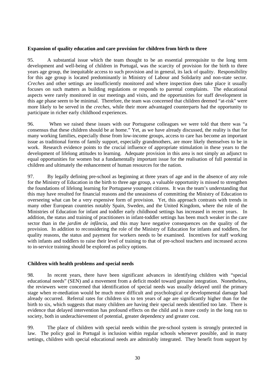#### **Expansion of quality education and care provision for children from birth to three**

95. A substantial issue which the team thought to be an essential prerequisite to the long term development and well-being of children in Portugal, was the scarcity of provision for the birth to three years age group, the inequitable access to such provision and in general, its lack of quality. Responsibility for this age group is located predominantly in Ministry of Labour and Solidarity and non-state sector. *Creches* and other settings are insufficiently monitored and where inspection does take place it usually focuses on such matters as building regulations or responds to parental complaints. The educational aspects were rarely monitored in our meetings and visits, and the opportunities for staff development in this age phase seem to be minimal. Therefore, the team was concerned that children deemed "at-risk" were more likely to be served in the *creches*, while their more advantaged counterparts had the opportunity to participate in richer early childhood experiences.

96. When we raised these issues with our Portuguese colleagues we were told that there was "a consensus that these children should be at home." Yet, as we have already discussed, the reality is that for many working families, especially those from low-income groups, access to care has become an important issue as traditional forms of family support, especially grandmothers, are more likely themselves to be in work. Research evidence points to the crucial influence of appropriate stimulation in these years to the development of lifelong attitudes to learning. Adequate provision in this area is not simply an adjunct to equal opportunities for women but a fundamentally important issue for the realisation of full potential in children and ultimately the enhancement of human resources for the nation.

97. By legally defining pre-school as beginning at three years of age and in the absence of any role for the Ministry of Education in the birth to three age group, a valuable opportunity is missed to strengthen the foundations of lifelong learning for Portuguese youngest citizens. It was the team's understanding that this may have resulted for financial reasons and the uneasiness of committing the Ministry of Education to overseeing what can be a very expensive form of provision. Yet, this approach contrasts with trends in many other European countries notably Spain, Sweden, and the United Kingdom, where the role of the Ministries of Education for infant and toddler early childhood settings has increased in recent years. In addition, the status and training of practitioners in infant-toddler settings has been much weaker in the care sector than in the *jardim de infância*, and this may have negative consequences on the quality of the provision. In addition to reconsidering the role of the Ministry of Education for infants and toddlers, for quality reasons, the status and payment for workers needs to be examined. Incentives for staff working with infants and toddlers to raise their level of training to that of pre-school teachers and increased access to in-service training should be explored as policy options.

#### **Children with health problems and special needs**

98. In recent years, there have been significant advances in identifying children with "special educational needs" (SEN) and a movement from a deficit model toward genuine integration. Nonetheless, the reviewers were concerned that identification of special needs was usually delayed until the primary stage when re-mediation would be much more difficult and psychological or developmental damage had already occurred. Referral rates for children six to ten years of age are significantly higher than for the birth to six, which suggests that many children are having their special needs identified too late. There is evidence that delayed intervention has profound effects on the child and is more costly in the long run to society, both in underachievement of potential, greater dependency and greater cost.

99. The place of children with special needs within the pre-school system is strongly protected in law. The policy goal in Portugal is inclusion within regular schools whenever possible, and in many settings, children with special educational needs are admirably integrated. They benefit from support by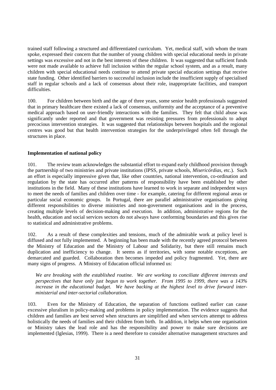trained staff following a structured and differentiated curriculum. Yet, medical staff, with whom the team spoke, expressed their concern that the number of young children with special educational needs in private settings was excessive and not in the best interests of these children. It was suggested that sufficient funds were not made available to achieve full inclusion within the regular school system, and as a result, many children with special educational needs continue to attend private special education settings that receive state funding. Other identified barriers to successful inclusion include the insufficient supply of specialised staff in regular schools and a lack of consensus about their role, inappropriate facilities, and transport difficulties.

100. For children between birth and the age of three years, some senior health professionals suggested that in primary healthcare there existed a lack of consensus, uniformity and the acceptance of a preventive medical approach based on user-friendly interactions with the families. They felt that child abuse was significantly under reported and that government was resisting pressures from professionals to adopt precocious intervention strategies. It was suggested that relationships between hospitals and the regional centres was good but that health intervention strategies for the underprivileged often fell through the structures in place.

### **Implementation of national policy**

101. The review team acknowledges the substantial effort to expand early childhood provision through the partnership of two ministries and private institutions (IPSS, private schools, *Misericórdias*, etc.). Such an effort is especially impressive given that, like other countries, national intervention, co-ordination and regulation by the state has occurred after patterns of responsibility have been established by other institutions in the field. Many of these institutions have learned to work in separate and independent ways to meet the needs of families and children over time - for example, catering for different regional areas or particular social economic groups. In Portugal, there are parallel administrative organisations giving different responsibilities to diverse ministries and non-government organisations and in the process, creating multiple levels of decision-making and execution. In addition, administrative regions for the health, education and social services sectors do not always have conforming boundaries and this gives rise to statistical and administrative problems.

102. As a result of these complexities and tensions, much of the admirable work at policy level is diffused and not fully implemented. A beginning has been made with the recently agreed protocol between the Ministry of Education and the Ministry of Labour and Solidarity, but there still remains much duplication and inefficiency to change. It seems as if territories, with some notable exceptions, are demarcated and guarded. Collaboration then becomes impeded and policy fragmented. Yet, there are many signs of progress. A Ministry of Education official informed us:

*We are breaking with the established routine. We are working to conciliate different interests and perspectives that have only just begun to work together. From 1995 to 1999, there was a 143% increase in the educational budget. We have backing at the highest level to drive forward interministerial and inter-sectorial collaboration.*

103. Even for the Ministry of Education, the separation of functions outlined earlier can cause excessive pluralism in policy-making and problems in policy implementation. The evidence suggests that children and families are best served when structures are simplified and when services attempt to address holistically the needs of families and their children from birth. In addition, it helps when one organisation or Ministry takes the lead role and has the responsibility and power to make sure decisions are implemented (Iglesias, 1999). There is a need therefore to consider alternative management structures and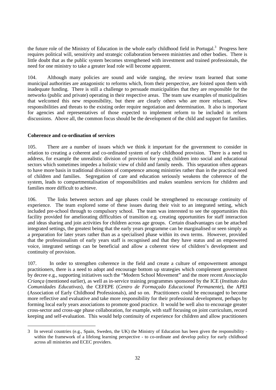the future role of the Ministry of Education in the whole early childhood field in Portugal.<sup>3</sup> Progress here requires political will, sensitivity and strategic collaboration between ministries and other bodies. There is little doubt that as the public system becomes strengthened with investment and trained professionals, the need for one ministry to take a greater lead role will become apparent.

104. Although many policies are sound and wide ranging, the review team learned that some municipal authorities are antagonistic to reforms which, from their perspective, are foisted upon them with inadequate funding. There is still a challenge to persuade municipalities that they are responsible for the networks (public and private) operating in their respective areas. The team saw examples of municipalities that welcomed this new responsibility, but there are clearly others who are more reluctant. New responsibilities and threats to the existing order require negotiation and determination. It also is important for agencies and representatives of those expected to implement reform to be included in reform discussions. Above all, the common focus should be the development of the child and support for families.

### **Coherence and co-ordination of services**

-

105. There are a number of issues which we think it important for the government to consider in relation to creating a coherent and co-ordinated system of early childhood provision. There is a need to address, for example the unrealistic division of provision for young children into social and educational sectors which sometimes impedes a holistic view of child and family needs. This separation often appears to have more basis in traditional divisions of competence among ministries rather than in the practical need of children and families. Segregation of care and education seriously weakens the coherence of the system, leads to compartmentalisation of responsibilities and makes seamless services for children and families more difficult to achieve.

106. The links between sectors and age phases could be strengthened to encourage continuity of experience. The team explored some of these issues during their visit to an integrated setting, which included pre-school through to compulsory school. The team was interested to see the opportunities this facility provided for ameliorating difficulties of transition e.g. creating opportunities for staff interaction and ideas sharing and join activities for children across age groups. Certain disadvantages can be attached integrated settings, the greatest being that the early years programme can be marginalised or seen simply as a preparation for later years rather than as a specialised phase within its own terms. However, provided that the professionalism of early years staff is recognised and that they have status and an empowered voice, integrated settings can be beneficial and allow a coherent view of children's development and continuity of provision.

107. In order to strengthen coherence in the field and create a culture of empowerment amongst practitioners, there is a need to adopt and encourage bottom up strategies which complement government by decree e.g., supporting initiatives such the "Modern School Movement" and the more recent *Associação Criança* (mentioned earlier), as well as in-service training programmes sponsored by the ICE (*Instituto das Comunidades Educativas*), the CEFEPE (*Centro de Formaçaão Educacional Permanente*), the APEI (Association of Early Childhood Professionals), and so on. Practitioners could be encouraged to become more reflective and evaluative and take more responsibility for their professional development, perhaps by forming local early years associations to promote good practice. It would be well also to encourage greater cross-sector and cross-age phase collaboration, for example, with staff focusing on joint curriculum, record keeping and self-evaluation. This would help continuity of experience for children and allow practitioners

<sup>3</sup> In several countries (e.g., Spain, Sweden, the UK) the Ministry of Education has been given the responsibility within the framework of a lifelong learning perspective - to co-ordinate and develop policy for early childhood across all ministries and ECEC providers.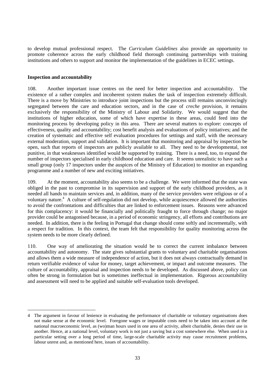to develop mutual professional respect. The *Curriculum Guidelines* also provide an opportunity to promote coherence across the early childhood field thorough continuing partnerships with training institutions and others to support and monitor the implementation of the guidelines in ECEC settings.

#### **Inspection and accountability**

1

108. Another important issue centres on the need for better inspection and accountability. The existence of a rather complex and incoherent system makes the task of inspection extremely difficult. There is a move by Ministries to introduce joint inspections but the process still remains unconvincingly segregated between the care and education sectors, and in the case of *creche* provision, it remains exclusively the responsibility of the Ministry of Labour and Solidarity. We would suggest that the institutions of higher education, some of which have expertise in these areas, could feed into the monitoring process by developing policy in this area. There are several matters to explore: concepts of effectiveness, quality and accountability; cost benefit analysis and evaluations of policy initiatives; and the creation of systematic and effective self evaluation procedures for settings and staff, with the necessary external moderation, support and validation. It is important that monitoring and appraisal by inspection be open, such that reports of inspectors are publicly available to all. They need to be developmental, not punitive, in that weaknesses identified would be supported by training. There is a need, too, to expand the number of inspectors specialised in early childhood education and care. It seems unrealistic to have such a small group (only 17 inspectors under the auspices of the Ministry of Education) to monitor an expanding programme and a number of new and exciting initiatives.

109. At the moment, accountability also seems to be a challenge. We were informed that the state was obliged in the past to compromise in its supervision and support of the early childhood providers, as it needed all hands to maintain services and, in addition, many of the service providers were religious or of a voluntary nature.<sup>4</sup> A culture of self-regulation did not develop, while acquiescence allowed the authorities to avoid the confrontations and difficulties that are linked to enforcement issues. Reasons were advanced for this complacency: it would be financially and politically fraught to force through change; no major provider could be antagonised because, in a period of economic stringency, all efforts and contributions are needed. In addition, there is the feeling in Portugal that change should come softly and incrementally, with a respect for tradition. In this context, the team felt that responsibility for quality monitoring across the system needs to be more clearly defined.

110. One way of ameliorating the situation would be to correct the current imbalance between accountability and autonomy. The state gives substantial grants to voluntary and charitable organisations and allows them a wide measure of independence of action, but it does not always contractually demand in return verifiable evidence of value for money, target achievement, or impact and outcome measures. The culture of accountability, appraisal and inspection needs to be developed. As discussed above, policy can often be strong in formulation but is sometimes ineffectual in implementation. Rigorous accountability and assessment will need to be applied and suitable self-evaluation tools developed.

<sup>4</sup> The argument in favour of lenience in evaluating the performance of charitable or voluntary organisations does not make sense at the economic level. Foregone wages or imputable costs need to be taken into account at the national macroeconomic level, as (wo)man hours used in one area of activity, albeit charitable, denies their use in another. Hence, at a national level, voluntary work is not just a saving but a cost somewhere else. When used in a particular setting over a long period of time, large-scale charitable activity may cause recruitment problems, labour unrest and, as mentioned here, issues of accountability.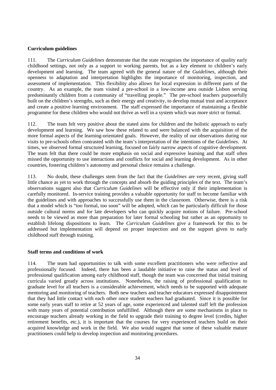### **Curriculum guidelines**

111. The *Curriculum Guidelines* demonstrate that the state recognises the importance of quality early childhood settings, not only as a support to working parents, but as a key element to children's early development and learning. The team agreed with the general nature of the *Guidelines*, although their openness to adaptation and interpretation highlights the importance of monitoring, inspection, and assessment of implementation. This flexibility also allows for local expression in different parts of the country. As an example, the team visited a pre-school in a low-income area outside Lisbon serving predominantly children from a community of "travelling people." The pre-school teachers purposefully built on the children's strengths, such as their energy and creativity, to develop mutual trust and acceptance and create a positive learning environment. The staff expressed the importance of maintaining a flexible programme for these children who would not thrive as well in a system which was more strict or formal.

112. The team felt very positive about the stated aims for children and the holistic approach to early development and learning. We saw how these related to and were balanced with the acquisition of the more formal aspects of the learning-orientated goals. However, the reality of our observations during our visits to pre-schools often contrasted with the team's interpretation of the intentions of the *Guidelines*. At times, we observed formal structured learning, focused on fairly narrow aspects of cognitive development. The team felt that there could be more emphasis on social and expressive learning and that staff often missed the opportunity to use interactions and conflicts for social and learning development. As in other countries, fostering children's autonomy and personal choice remains a challenge.

113. No doubt, these challenges stem from the fact that the *Guidelines* are very recent, giving staff little chance as yet to work through the concepts and absorb the guiding principles of the text. The team's observations suggest also that *Curriculum Guidelines* will be effective only if their implementation is carefully monitored. In-service training provides a valuable opportunity for staff to become familiar with the guidelines and with approaches to successfully use them in the classroom. Otherwise, there is a risk that a model which is "too formal, too soon" will be adopted, which can be particularly difficult for those outside cultural norms and for late developers who can quickly acquire notions of failure. Pre-school needs to be viewed as more than preparation for later formal schooling but rather as an opportunity to establish lifelong dispositions to learn. The *Curriculum Guidelines* give a framework for this to be addressed but implementation will depend on proper inspection and on the support given to early childhood staff through training.

### **Staff terms and conditions of work**

114. The team had opportunities to talk with some excellent practitioners who were reflective and professionally focused. Indeed, there has been a laudable initiative to raise the status and level of professional qualification among early childhood staff, though the team was concerned that initial training curricula varied greatly across institutions. Nonetheless, the raising of professional qualification to graduate level for all teachers is a considerable achievement, which needs to be supported with adequate mentoring and monitoring of teachers. Both new teachers and teacher educators expressed disappointment that they had little contact with each other once student teachers had graduated. Since it is possible for some early years staff to retire at 52 years of age, some experienced and talented staff left the profession with many years of potential contribution unfulfilled. Although there are some mechanisms in place to encourage teachers already working in the field to upgrade their training to degree level (credits, higher retirement benefits, etc.), it is important that the courses for very experienced teachers build on their acquired knowledge and work in the field. We also would suggest that some of these valuable mature practitioners could help to develop inspection and monitoring procedures.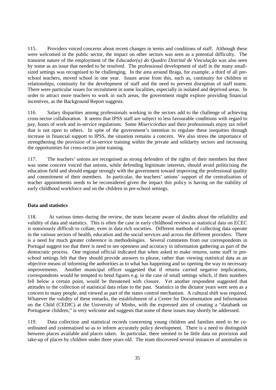115. Providers voiced concerns about recent changes in terms and conditions of staff. Although these were welcomed in the public sector, the impact on other sectors was seen as a potential difficulty. The transient nature of the employment of the *Educador(a) do Quadro Distrital de Vinculação* was also seen by some as an issue that needed to be resolved. The professional development of staff in the many smallsized settings was recognised to be challenging. In the area around Braga, for example, a third of all preschool teachers, moved school in one year. Issues arose from this, such as, continuity for children in relationships, continuity for the development of staff and the need to prevent disruption of staff teams. There were particular issues for recruitment in some localities, especially in isolated and deprived areas. In order to attract more teachers to work in such areas, the government might explore providing financial incentives, as the Background Report suggests.

116. Salary disparities among professionals working in the sectors add to the challenge of achieving cross-sector collaboration. It seems that IPSS staff are subject to less favourable conditions with regard to pay, hours of work and in-service regulations. Some *Misericórdias* and their professionals enjoy tax relief that is not open to others. In spite of the government's intention to regulate these inequities through increase in financial support to IPSS, the situation remains a concern. We also stress the importance of strengthening the provision of in-service training within the private and solidarity sectors and increasing the opportunities for cross-sector joint training.

117. The teachers' unions are recognised as strong defenders of the rights of their members but there was some concern voiced that unions, while defending legitimate interests, should avoid politicising the education field and should engage strongly with the government toward improving the professional quality and commitment of their members. In particular, the teachers' unions' support of the centralisation of teacher appointments needs to be reconsidered given the impact this policy is having on the stability of early childhood workforce and on the children in pre-school settings.

### **Data and statistics**

118. At various times during the review, the team became aware of doubts about the reliability and validity of data and statistics. This is often the case in early childhood reviews as statistical data on ECEC is notoriously difficult to collate, even in data rich societies. Different methods of collecting data operate in the various sectors of health, education and the social services and across the different providers. There is a need for much greater coherence in methodologies. Several comments from our correspondents in Portugal suggest too that there is need to see openness and accuracy in information gathering as part of the democratic process. One regional official indicated that when asked to make returns, some staff in preschool settings felt that they should provide answers to please, rather than viewing statistical data as an objective means of informing the authorities as to what has happening and so opening the way to necessary improvements. Another municipal officer suggested that if returns carried negative implications, correspondents would be tempted to bend figures e.g. in the case of small settings which, if their numbers fell below a certain point, would be threatened with closure. Yet another respondent suggested that attitudes to the collection of statistical data relate to the past. Statistics in the dictator years were seen as a concern to many people, and viewed as part of the states control mechanism. A cultural shift was required. Whatever the validity of these remarks, the establishment of a Centre for Documentation and Information on the Child (CEDIC) at the University of Minho, with the expressed aim of creating a "databank on Portuguese children," is very welcome and suggests that some of these issues may shortly be addressed.

119. Data collection and statistical records concerning young children and families need to be coordinated and systematised so as to inform accurately policy development. There is a need to distinguish between places available and places taken. In particular, there seemed to be little data on provision and take-up of places by children under three years old. The team discovered several instances of anomalies in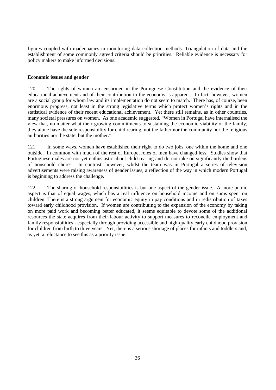figures coupled with inadequacies in monitoring data collection methods. Triangulation of data and the establishment of some commonly agreed criteria should be priorities. Reliable evidence is necessary for policy makers to make informed decisions.

### **Economic issues and gender**

120. The rights of women are enshrined in the Portuguese Constitution and the evidence of their educational achievement and of their contribution to the economy is apparent. In fact, however, women are a social group for whom law and its implementation do not seem to match. There has, of course, been enormous progress, not least in the strong legislative terms which protect women's rights and in the statistical evidence of their recent educational achievement. Yet there still remains, as in other countries, many societal pressures on women. As one academic suggested, "Women in Portugal have internalised the view that, no matter what their growing commitments to sustaining the economic viability of the family, they alone have the sole responsibility for child rearing, not the father nor the community nor the religious authorities nor the state, but the mother."

121. In some ways, women have established their right to do two jobs, one within the home and one outside. In common with much of the rest of Europe, roles of men have changed less. Studies show that Portuguese males are not yet enthusiastic about child rearing and do not take on significantly the burdens of household chores. In contrast, however, whilst the team was in Portugal a series of television advertisements were raising awareness of gender issues, a reflection of the way in which modern Portugal is beginning to address the challenge.

122. The sharing of household responsibilities is but one aspect of the gender issue. A more public aspect is that of equal wages, which has a real influence on household income and on sums spent on children. There is a strong argument for economic equity in pay conditions and in redistribution of taxes toward early childhood provision. If women are contributing to the expansion of the economy by taking on more paid work and becoming better educated, it seems equitable to devote some of the additional resources the state acquires from their labour activity to support measures to reconcile employment and family responsibilities - especially through providing accessible and high-quality early childhood provision for children from birth to three years. Yet, there is a serious shortage of places for infants and toddlers and, as yet, a reluctance to see this as a priority issue.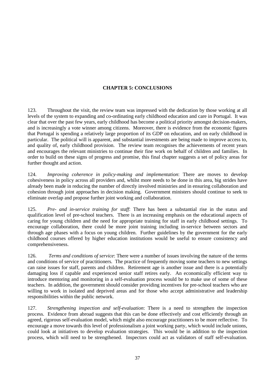### **CHAPTER 5: CONCLUSIONS**

123. Throughout the visit, the review team was impressed with the dedication by those working at all levels of the system to expanding and co-ordinating early childhood education and care in Portugal. It was clear that over the past few years, early childhood has become a political priority amongst decision-makers, and is increasingly a vote winner among citizens. Moreover, there is evidence from the economic figures that Portugal is spending a relatively large proportion of its GDP on education, and on early childhood in particular. The political will is apparent, and substantial investments are being made to improve access to, and quality of, early childhood provision. The review team recognises the achievements of recent years and encourages the relevant ministries to continue their fine work on behalf of children and families. In order to build on these signs of progress and promise, this final chapter suggests a set of policy areas for further thought and action.

124. *Improving coherence in policy-making and implementation*: There are moves to develop cohesiveness in policy across all providers and, whilst more needs to be done in this area, big strides have already been made in reducing the number of directly involved ministries and in ensuring collaboration and cohesion through joint approaches in decision making. Government ministers should continue to seek to eliminate overlap and propose further joint working and collaboration.

125. *Pre- and in-service training for staff*: There has been a substantial rise in the status and qualification level of pre-school teachers. There is an increasing emphasis on the educational aspects of caring for young children and the need for appropriate training for staff in early childhood settings. To encourage collaboration, there could be more joint training including in-service between sectors and through age phases with a focus on young children. Further guidelines by the government for the early childhood courses offered by higher education institutions would be useful to ensure consistency and comprehensiveness.

126. *Terms and conditions of service*: There were a number of issues involving the nature of the terms and conditions of service of practitioners. The practice of frequently moving some teachers to new settings can raise issues for staff, parents and children. Retirement age is another issue and there is a potentially damaging loss if capable and experienced senior staff retires early. An economically efficient way to introduce mentoring and monitoring in a self-evaluation process would be to make use of some of these teachers. In addition, the government should consider providing incentives for pre-school teachers who are willing to work in isolated and deprived areas and for those who accept administrative and leadership responsibilities within the public network.

127. *Strengthening inspection and self-evaluation*: There is a need to strengthen the inspection process. Evidence from abroad suggests that this can be done effectively and cost efficiently through an agreed, rigorous self-evaluation model, which might also encourage practitioners to be more reflective. To encourage a move towards this level of professionalism a joint working party, which would include unions, could look at initiatives to develop evaluation strategies. This would be in addition to the inspection process, which will need to be strengthened. Inspectors could act as validators of staff self-evaluation.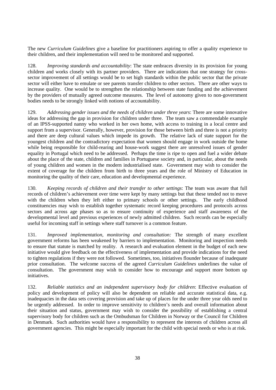The new *Curriculum Guidelines* give a baseline for practitioners aspiring to offer a quality experience to their children, and their implementation will need to be monitored and supported.

128. *Improving standards and accountability*: The state embraces diversity in its provision for young children and works closely with its partner providers. There are indications that one strategy for crosssector improvement of all settings would be to set high standards within the public sector that the private sector will either have to emulate or see parents transfer children to other sectors. There are other ways to increase quality. One would be to strengthen the relationship between state funding and the achievement by the providers of mutually agreed outcome measures. The level of autonomy given to non-government bodies needs to be strongly linked with notions of accountability.

129. *Addressing gender issues and the needs of children under three years*: There are some innovative ideas for addressing the gap in provision for children under three. The team saw a commendable example of an IPSS-supported nanny who worked in her own home, with access to training in a local centre and support from a supervisor. Generally, however, provision for those between birth and three is not a priority and there are deep cultural values which impede its growth. The relative lack of state support for the youngest children and the contradictory expectation that women should engage in work outside the home while being responsible for child-rearing and house-work suggest there are unresolved issues of gender equality in Portugal which need to be addressed. Perhaps the time is ripe to open and fuel a wider debate about the place of the state, children and families in Portuguese society and, in particular, about the needs of young children and women in the modern industrialised state. Government may wish to consider the extent of coverage for the children from birth to three years and the role of Ministry of Education in monitoring the quality of their care, education and developmental experience.

130. *Keeping records of children and their transfer to other settings*: The team was aware that full records of children's achievement over time were kept by many settings but that these tended not to move with the children when they left either to primary schools or other settings. The early childhood constituencies may wish to establish together systematic record keeping procedures and protocols across sectors and across age phases so as to ensure continuity of experience and staff awareness of the developmental level and previous experiences of newly admitted children. Such records can be especially useful for incoming staff in settings where staff turnover is a common feature.

131. *Improved implementation, monitoring and consultation:* The strength of many excellent government reforms has been weakened by barriers to implementation. Monitoring and inspection needs to ensure that statute is matched by reality. A research and evaluation element in the budget of each new initiative would give feedback on the effectiveness of implementation and provide indications for the need to tighten regulations if they were not followed. Sometimes, too, initiatives flounder because of inadequate prior consultation. The welcome success of the agreed *Curriculum Guidelines* underlines the value of consultation. The government may wish to consider how to encourage and support more bottom up initiatives.

132. *Reliable statistics and an independent supervisory body for children*: Effective evaluation of policy and development of policy will also be dependent on reliable and accurate statistical data, e.g. inadequacies in the data sets covering provision and take up of places for the under three year olds need to be urgently addressed. In order to improve sensitivity to children's needs and overall information about their situation and status, government may wish to consider the possibility of establishing a central supervisory body for children such as the Ombudsman for Children in Norway or the Council for Children in Denmark. Such authorities would have a responsibility to represent the interests of children across all government agencies. This might be especially important for the child with special needs or who is at risk.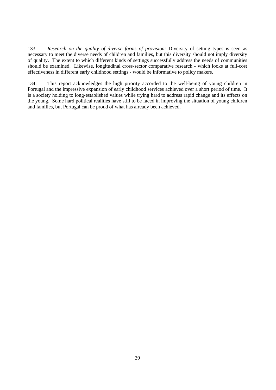133. *Research on the quality of diverse forms of provision:* Diversity of setting types is seen as necessary to meet the diverse needs of children and families, but this diversity should not imply diversity of quality. The extent to which different kinds of settings successfully address the needs of communities should be examined. Likewise, longitudinal cross-sector comparative research - which looks at full-cost effectiveness in different early childhood settings - would be informative to policy makers.

134. This report acknowledges the high priority accorded to the well-being of young children in Portugal and the impressive expansion of early childhood services achieved over a short period of time. It is a society holding to long-established values while trying hard to address rapid change and its effects on the young. Some hard political realities have still to be faced in improving the situation of young children and families, but Portugal can be proud of what has already been achieved.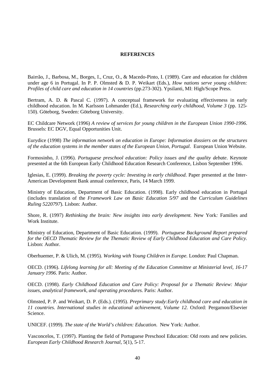#### **REFERENCES**

Bairrão, J., Barbosa, M., Borges, I., Cruz, O., & Macedo-Pinto, I. (1989). Care and education for children under age 6 in Portugal. In P. P. Olmsted & D. P. Weikart (Eds.), *How nations serve young children: Profiles of child care and education in 14 countries* (pp.273-302). Ypsilanti, MI: High/Scope Press.

Bertram, A. D. & Pascal C. (1997). A conceptual framework for evaluating effectiveness in early childhood education. In M. Karlsson Lohmander (Ed.), *Researching early childhood*, *Volume 3* (pp. 125- 150). Göteborg, Sweden: Göteborg University.

EC Childcare Network (1996) *A review of services for young children in the European Union 1990-1996*. Brussels: EC DGV, Equal Opportunities Unit.

Eurydice (1998) *The information network on education in Europe: Information dossiers on the structures of the education systems in the member states of the European Union, Portugal*. European Union Website.

Formosinho, J. (1996). *Portuguese preschool education: Policy issues and the quality debate*. Keynote presented at the 6th European Early Childhood Education Research Conference, Lisbon September 1996.

Iglesias, E. (1999). *Breaking the poverty cycle: Investing in early childhood*. Paper presented at the Inter-American Development Bank annual conference, Paris, 14 March 1999.

Ministry of Education, Department of Basic Education. (1998). Early childhood education in Portugal (includes translation of the *Framework Law on Basic Education 5/97* and the *Curriculum Guidelines Ruling 5220797*). Lisbon: Author.

Shore, R. (1997) *Rethinking the brain: New insights into early development.* New York*:* Families and Work Institute.

Ministry of Education, Department of Basic Education. (1999). *Portuguese Background Report prepared for the OECD Thematic Review for the Thematic Review of Early Childhood Education and Care Policy.* Lisbon: Author.

Oberhuemer, P. & Ulich, M. (1995). *Working with Young Children in Europe.* London: Paul Chapman.

OECD. (1996). *Lifelong learning for all: Meeting of the Education Committee at Ministerial level, 16-17 January 1996*. Paris: Author.

OECD. (1998). *Early Childhood Education and Care Policy: Proposal for a Thematic Review: Major issues, analytical framework, and operating procedures.* Paris: Author.

Olmsted, P. P. and Weikart, D. P. (Eds.). (1995). *Preprimary study:Early childhood care and education in 11 countries. International studies in educational achievement, Volume 12.* Oxford: Pergamon/Elsevier Science.

UNICEF. (1999). *The state of the World's children: Education*. New York: Author.

Vasconcelos, T. (1997). Planting the field of Portuguese Preschool Education: Old roots and new policies. *European Early Childhood Research Journal*, 5(1), 5-17.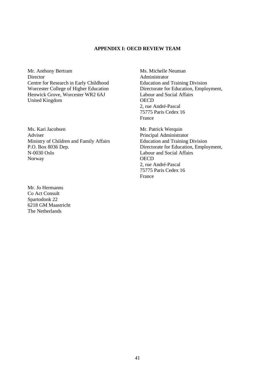### **APPENDIX I: OECD REVIEW TEAM**

Mr. Anthony Bertram **Director** Centre for Research in Early Childhood Worcester College of Higher Education Henwick Grove, Worcester WR2 6AJ United Kingdom

Ms. Kari Jacobsen Adviser Ministry of Children and Family Affairs P.O. Box 8036 Dep. N-0030 Oslo Norway

Mr. Jo Hermanns Co Act Consult Spartodonk 22 6218 GM Maastricht The Netherlands

Ms. Michelle Neuman Administrator Education and Training Division Directorate for Education, Employment, Labour and Social Affairs **OECD** 2, rue André-Pascal 75775 Paris Cedex 16 France

Mr. Patrick Werquin Principal Administrator Education and Training Division Directorate for Education, Employment, Labour and Social Affairs **OECD** 2, rue André-Pascal 75775 Paris Cedex 16 France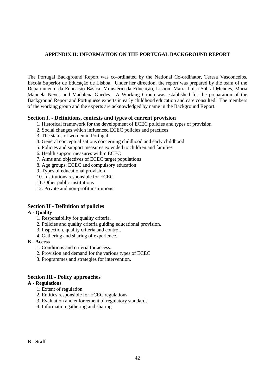### **APPENDIX II: INFORMATION ON THE PORTUGAL BACKGROUND REPORT**

The Portugal Background Report was co-ordinated by the National Co-ordinator, Teresa Vasconcelos, Escola Superior de Educação de Lisboa. Under her direction, the report was prepared by the team of the Departamento da Educação Básica, Ministério da Educação, Lisbon: Maria Luísa Sobral Mendes, Maria Manuela Neves and Madalena Guedes. A Working Group was established for the preparation of the Background Report and Portuguese experts in early childhood education and care consulted. The members of the working group and the experts are acknowledged by name in the Background Report.

### **Section I. - Definitions, contexts and types of current provision**

- 1. Historical framework for the development of ECEC policies and types of provision
- 2. Social changes which influenced ECEC policies and practices
- 3. The status of women in Portugal
- 4. General conceptualisations concerning childhood and early childhood
- 5. Policies and support measures extended to children and families
- 6. Health support measures within ECEC
- 7. Aims and objectives of ECEC target populations
- 8. Age groups: ECEC and compulsory education
- 9. Types of educational provision
- 10. Institutions responsible for ECEC
- 11. Other public institutions
- 12. Private and non-profit institutions

### **Section II - Definition of policies**

### **A - Quality**

- 1. Responsibility for quality criteria.
- 2. Policies and quality criteria guiding educational provision.
- 3. Inspection, quality criteria and control.
- 4. Gathering and sharing of experience.

### **B - Access**

- 1. Conditions and criteria for access.
- 2. Provision and demand for the various types of ECEC
- 3. Programmes and strategies for intervention.

### **Section III - Policy approaches**

### **A - Regulations**

- 1. Extent of regulation
- 2. Entities responsible for ECEC regulations
- 3. Evaluation and enforcement of regulatory standards
- 4. Information gathering and sharing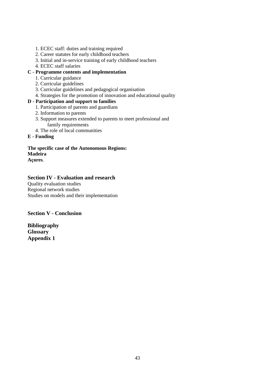- 1. ECEC staff: duties and training required
- 2. Career statutes for early childhood teachers
- 3. Initial and in-service training of early childhood teachers
- 4. ECEC staff salaries

### **C - Programme contents and implementation**

- 1. Curricular guidance
- 2. Curricular guidelines
- 3. Curricular guidelines and pedagogical organisation
- 4. Strategies for the promotion of innovation and educational quality

### **D - Participation and support to families**

- 1. Participation of parents and guardians
- 2. Information to parents
- 3. Support measures extended to parents to meet professional and family requirements
- 4. The role of local communities
- **E Funding**

## **The specific case of the Autonomous Regions: Madeira**

### **Açores**.

### **Section IV - Evaluation and research**

Quality evaluation studies Regional network studies Studies on models and their implementation

### **Section V - Conclusion**

**Bibliography Glossary Appendix 1**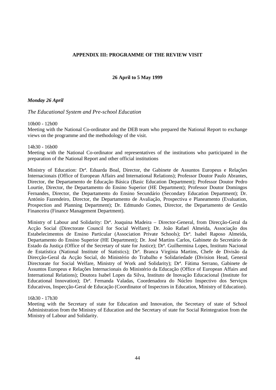### **APPENDIX III: PROGRAMME OF THE REVIEW VISIT**

### **26 April to 5 May 1999**

#### *Monday 26 April*

*The Educational System and Pre-school Education*

10h00 - 12h00

Meeting with the National Co-ordinator and the DEB team who prepared the National Report to exchange views on the programme and the methodology of the visit.

14h30 - 16h00

Meeting with the National Co-ordinator and representatives of the institutions who participated in the preparation of the National Report and other official institutions

Ministry of Education: Drª. Eduarda Boal, Director, the Gabinete de Assuntos Europeus e Relações Internacionais (Office of European Affairs and International Relations); Professor Doutor Paulo Abrantes, Director, the Departamento de Educação Básica (Basic Education Department); Professor Doutor Pedro Lourtie, Director, the Departamento do Ensino Superior (HE Department); Professor Doutor Domingos Fernandes, Director, the Departamento do Ensino Secundário (Secondary Education Department); Dr. António Fazendeiro, Director, the Departamento de Avaliação, Prospectiva e Planeamento (Evaluation, Prospection and Planning Department); Dr. Edmundo Gomes, Director, the Departamento de Gestão Financeira (Finance Management Department).

Ministry of Labour and Solidarity: Drª. Joaquina Madeira – Director-General, from Direcção-Geral da Acção Social (Directorate Council for Social Welfare); Dr. João Rafael Almeida, Associação dos Estabelecimentos de Ensino Particular (Association Private Schools); Drª. Isabel Raposo Almeida, Departamento do Ensino Superior (HE Department); Dr. José Martins Carlos, Gabinete do Secretário de Estado da Justiça (Office of the Secretary of state for Justice); Drª. Guilhermina Lopes, Instituto Nacional de Estatística (National Institute of Statistics); Drª. Branca Virgínia Martins, Chefe de Divisão da Direcção-Geral da Acção Social, do Ministério do Trabalho e Solidariedade (Division Head, General Directorate for Social Welfare, Ministry of Work and Solidarity); Drª. Fátima Serrano, Gabinete de Assuntos Europeus e Relações Internacionais do Ministério da Educação (Office of European Affairs and International Relations); Doutora Isabel Lopes da Silva, Instituto de Inovação Educacional (Institute for Educational Innovation); Drª. Fernanda Valadas, Coordenadora do Núcleo Inspectivo dos Serviços Educativos, Inspecção-Geral de Educação (Coordinator of Inspectors in Education, Ministry of Education).

16h30 - 17h30

Meeting with the Secretary of state for Education and Innovation, the Secretary of state of School Administration from the Ministry of Education and the Secretary of state for Social Reintegration from the Ministry of Labour and Solidarity.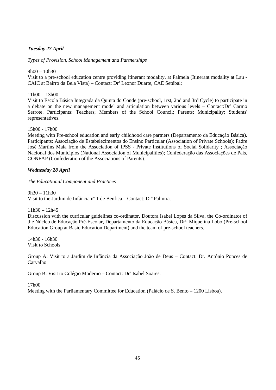### *Tuesday 27 April*

*Types of Provision, School Management and Partnerships*

### 9h00 – 10h30

Visit to a pre-school education centre providing itinerant modality, at Palmela (Itinerant modality at Lau - CAIC at Bairro da Bela Vista) – Contact: Drª Leonor Duarte, CAE Setúbal;

### $11h00 - 13h00$

Visit to Escola Básica Integrada da Quinta do Conde (pre-school, 1rst, 2nd and 3rd Cycle) to participate in a debate on the new management model and articulation between various levels – Contact:Drª Carmo Serrote. Participants: Teachers; Members of the School Council; Parents; Municipality; Students' representatives.

### 15h00 - 17h00

Meeting with Pre-school education and early childhood care partners (Departamento da Educação Básica). Participants: Associação de Estabelecimentos do Ensino Particular (Association of Private Schools); Padre José Martins Maia from the Association of IPSS - Private Institutions of Social Solidarity ; Associação Nacional dos Municípios (National Association of Municipalities); Confederação das Associações de Pais, CONFAP (Confederation of the Associations of Parents).

### *Wednesday 28 April*

*The Educational Component and Practices*

 $9h30 - 11h30$ Visit to the Jardim de Infância nº 1 de Benfica – Contact: Drª Palmira.

11h30 – 12h45

Discussion with the curricular guidelines co-ordinator, Doutora Isabel Lopes da Silva, the Co-ordinator of the Núcleo de Educação Pré-Escolar, Departamento da Educação Básica, Drª. Miquelina Lobo (Pre-school Education Group at Basic Education Department) and the team of pre-school teachers.

14h30 - 16h30 Visit to Schools

Group A: Visit to a Jardim de Infância da Associação João de Deus – Contact: Dr. António Ponces de Carvalho

Group B: Visit to Colégio Moderno – Contact: Drª Isabel Soares.

17h00

Meeting with the Parliamentary Committee for Education (Palácio de S. Bento – 1200 Lisboa).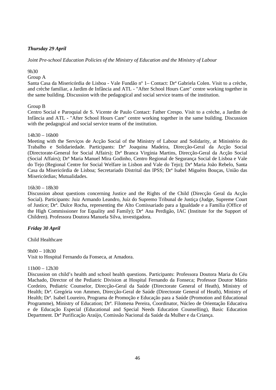### *Thursday 29 April*

### *Joint Pre-school Education Policies of the Ministry of Education and the Ministry of Labour*

### 9h30

### Group A

Santa Casa da Misericórdia de Lisboa - Vale Fundão nº 1– Contact: Drª Gabriela Colen. Visit to a crèche, and crèche familiar, a Jardim de Infância and ATL - "After School Hours Care" centre working together in the same building. Discussion with the pedagogical and social service teams of the institution.

### Group B

Centro Social e Paroquial de S. Vicente de Paulo Contact: Father Crespo. Visit to a crèche, a Jardim de Infância and ATL - "After School Hours Care" centre working together in the same building. Discussion with the pedagogical and social service teams of the institution.

### $14h30 - 16h00$

Meeting with the Serviços de Acção Social of the Ministry of Labour and Solidarity, at Ministério do Trabalho e Solidariedade. Participants: Drª Joaquina Madeira, Direcção-Geral da Acção Social (Directorate-General for Social Affairs); Drª Branca Virgínia Martins, Direcção-Geral da Acção Social (Social Affairs); Drª Maria Manuel Mira Godinho, Centro Regional de Segurança Social de Lisboa e Vale do Tejo (Regional Centre for Social Welfare in Lisbon and Vale do Tejo); Drª Maria João Rebelo, Santa Casa da Misericórdia de Lisboa; Secretariado Distrital das IPSS; Drª Isabel Miguéns Bouças, União das Misericórdias; Mutualidades.

### 16h30 – 18h30

Discussion about questions concerning Justice and the Rights of the Child (Direcção Geral da Acção Social). Participants: Juiz Armando Leandro, Juíz do Supremo Tribunal de Justiça (Judge, Supreme Court of Justice; Drª. Dulce Rocha, representing the Alto Comissariado para a Igualdade e a Família (Office of the High Commissioner for Equality and Family); Drª Ana Perdigão, IAC (Institute for the Support of Children). Professora Doutora Manuela Silva, investigadora.

### *Friday 30 April*

Child Healthcare

#### 9h00 – 10h30

Visit to Hospital Fernando da Fonseca, at Amadora.

### 11h00 – 12h30

Discussion on child's health and school health questions. Participants: Professora Doutora Maria do Céu Machado, Director of the Pediatric Division at Hospital Fernando da Fonseca; Professor Doutor Mário Cordeiro, Pediatric Counselor, Direcção-Geral da Saúde (Directorate General of Heath), Ministry of Health; Drª. Gregória von Ammen, Direcção-Geral de Saúde (Directorate General of Heath), Ministry of Health; Drª. Isabel Loureiro, Programa de Promoção e Educação para a Saúde (Promotion and Educational Programme), Ministry of Education; Drª. Filomena Pereira, Coordinator, Núcleo de Orientação Educativa e de Educação Especial (Educational and Special Needs Education Counselling), Basic Education Department. Drª Purificação Araújo, Comissão Nacional da Saúde da Mulher e da Criança.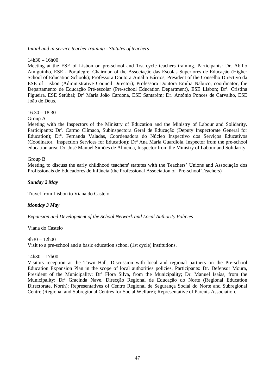#### *Initial and in-service teacher training - Statutes of teachers*

#### $14h30 - 16h00$

Meeting at the ESE of Lisbon on pre-school and 1rst cycle teachers training. Participants: Dr. Abílio Amiguinho, ESE - Portalegre, Chairman of the Associação das Escolas Superiores de Educação (Higher School of Education Schools); Professora Doutora Amália Bárrios, President of the Conselho Directivo da ESE of Lisbon (Administrative Council Director); Professora Doutora Emília Nabuco, coordinator, the Departamento de Educação Pré-escolar (Pre-school Education Department), ESE Lisbon; Drª. Cristina Figueira, ESE Setúbal; Drª Maria João Cardona, ESE Santarém; Dr. António Ponces de Carvalho, ESE João de Deus.

### $16.30 - 18.30$

### Group A

Meeting with the Inspectors of the Ministry of Education and the Ministry of Labour and Solidarity. Participants: Drª. Carmo Clímaco, Subinspectora Geral de Educação (Deputy Inspectorate General for Education); Dr<sup>a</sup>. Fernanda Valadas, Coordenadora do Núcleo Inspectivo dos Serviços Educativos (Coodinator, Inspection Services for Education); Drª Ana Maria Guardiola, Inspector from the pre-school education area; Dr. José Manuel Simões de Almeida, Inspector from the Ministry of Labour and Solidarity.

#### Group B

Meeting to discuss the early childhood teachers' statutes with the Teachers' Unions and Associação dos Profissionais de Educadores de Infância (the Professional Association of Pre-school Teachers)

#### *Sunday 2 May*

Travel from Lisbon to Viana do Castelo

#### *Monday 3 May*

*Expansion and Development of the School Network and Local Authority Policies*

Viana do Castelo

 $9h30 - 12h00$ Visit to a pre-school and a basic education school (1st cycle) institutions.

#### $14h30 - 17h00$

Visitors reception at the Town Hall. Discussion with local and regional partners on the Pre-school Education Expansion Plan in the scope of local authorities policies. Participants: Dr. Defensor Moura, President of the Municipality; Drª Flora Silva, from the Municipality; Dr. Manuel Isaías, from the Municipality; Drª Gracinda Nave, Direcção Regional de Educação do Norte (Regional Education Directorate, North); Representatives of Centro Regional de Segurança Social do Norte and Subregional Centre (Regional and Subregional Centres for Social Welfare); Representative of Parents Association.